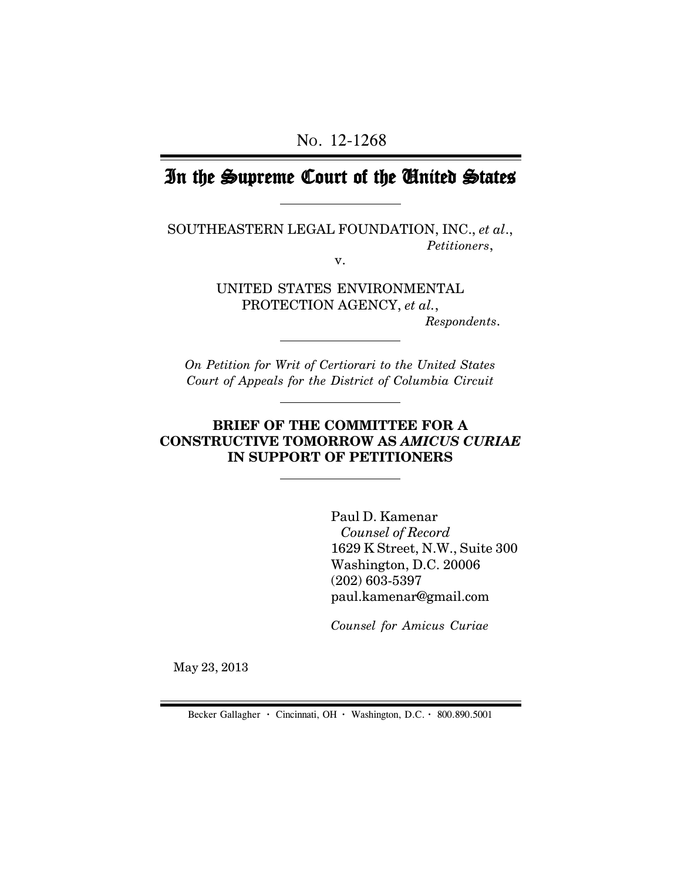NO. 12-1268

# In the Supreme Court of the United States

SOUTHEASTERN LEGAL FOUNDATION, INC., *et al*., *Petitioners*,

v.

UNITED STATES ENVIRONMENTAL PROTECTION AGENCY, *et al.*,

 *Respondents*.

*On Petition for Writ of Certiorari to the United States Court of Appeals for the District of Columbia Circuit*

### **BRIEF OF THE COMMITTEE FOR A CONSTRUCTIVE TOMORROW AS** *AMICUS CURIAE* **IN SUPPORT OF PETITIONERS**

Paul D. Kamenar  *Counsel of Record* 1629 K Street, N.W., Suite 300 Washington, D.C. 20006 (202) 603-5397 paul.kamenar@gmail.com

*Counsel for Amicus Curiae*

May 23, 2013

Becker Gallagher **·** Cincinnati, OH **·** Washington, D.C. **·** 800.890.5001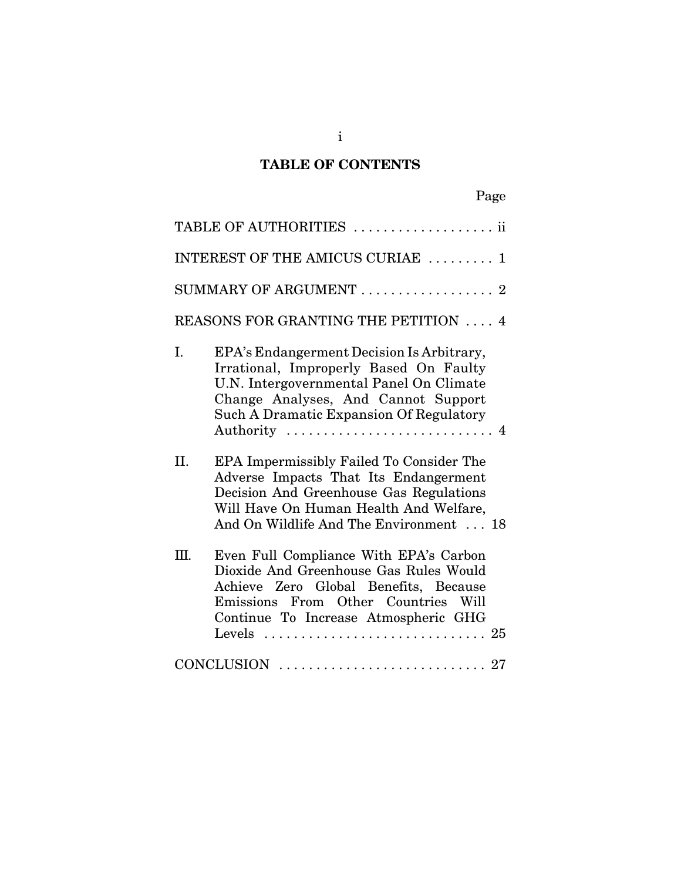# **TABLE OF CONTENTS**

| TABLE OF AUTHORITIES  ii                                                                                                                                                                                                   |  |
|----------------------------------------------------------------------------------------------------------------------------------------------------------------------------------------------------------------------------|--|
| INTEREST OF THE AMICUS CURIAE  1                                                                                                                                                                                           |  |
| SUMMARY OF ARGUMENT  2                                                                                                                                                                                                     |  |
| <b>REASONS FOR GRANTING THE PETITION  4</b>                                                                                                                                                                                |  |
| I.<br>EPA's Endangerment Decision Is Arbitrary,<br>Irrational, Improperly Based On Faulty<br>U.N. Intergovernmental Panel On Climate<br>Change Analyses, And Cannot Support<br>Such A Dramatic Expansion Of Regulatory     |  |
| EPA Impermissibly Failed To Consider The<br>II.<br>Adverse Impacts That Its Endangerment<br>Decision And Greenhouse Gas Regulations<br>Will Have On Human Health And Welfare,<br>And On Wildlife And The Environment  18   |  |
| Even Full Compliance With EPA's Carbon<br>III.<br>Dioxide And Greenhouse Gas Rules Would<br>Achieve Zero Global Benefits, Because<br>Emissions From Other Countries Will<br>Continue To Increase Atmospheric GHG<br>Levels |  |
|                                                                                                                                                                                                                            |  |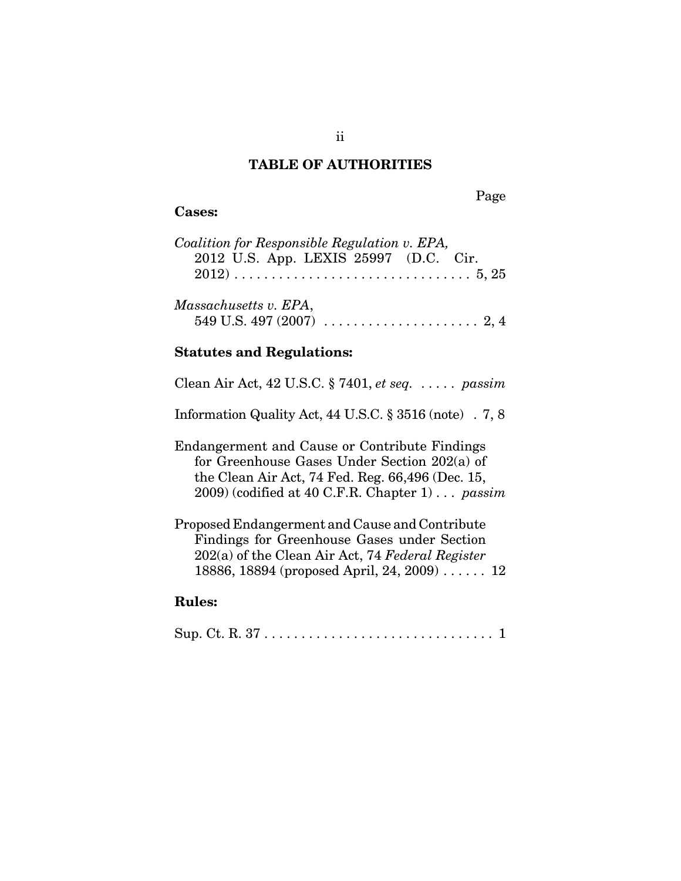### **TABLE OF AUTHORITIES**

Page

#### **Cases:**

| Coalition for Responsible Regulation v. EPA, |  |
|----------------------------------------------|--|
| 2012 U.S. App. LEXIS 25997 (D.C. Cir.        |  |
|                                              |  |
|                                              |  |
| Massachusetts v. EPA,                        |  |
|                                              |  |

### **Statutes and Regulations:**

| Clean Air Act, 42 U.S.C. § 7401, et seq. $\dots$ passim |  |  |  |  |
|---------------------------------------------------------|--|--|--|--|
|---------------------------------------------------------|--|--|--|--|

Information Quality Act, 44 U.S.C. § 3516 (note) . 7, 8

Endangerment and Cause or Contribute Findings for Greenhouse Gases Under Section 202(a) of the Clean Air Act, 74 Fed. Reg. 66,496 (Dec. 15, 2009) (codified at 40 C.F.R. Chapter 1) . . . *passim*

Proposed Endangerment and Cause and Contribute Findings for Greenhouse Gases under Section 202(a) of the Clean Air Act, 74 *Federal Register* 18886, 18894 (proposed April, 24, 2009) . . . . . . 12

### **Rules:**

|--|--|--|--|--|--|--|--|--|--|--|--|--|--|--|--|--|--|--|--|--|--|--|--|--|--|--|--|--|--|--|--|--|--|--|--|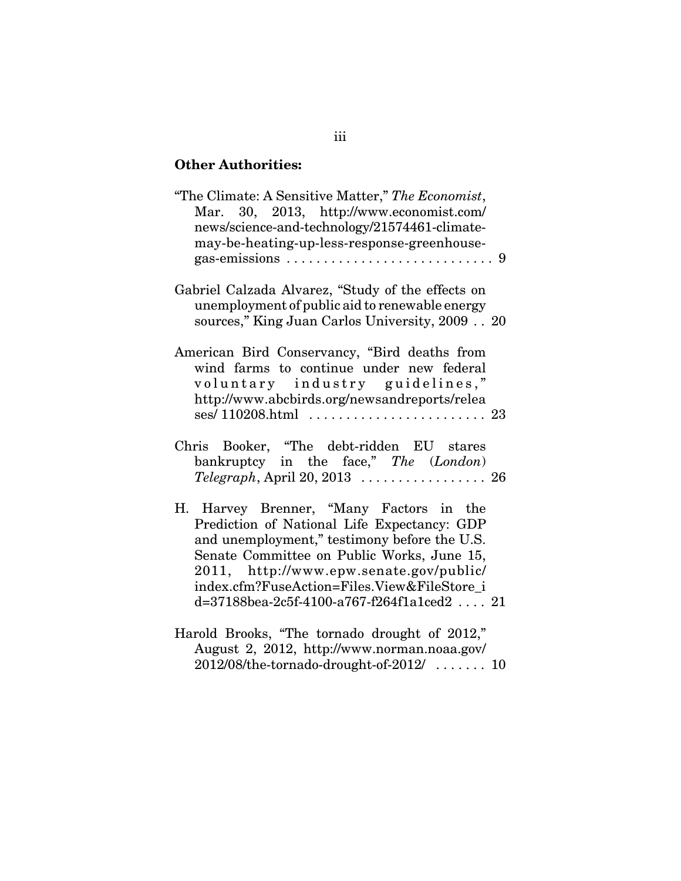## **Other Authorities:**

| "The Climate: A Sensitive Matter," The Economist,<br>Mar. 30, 2013, http://www.economist.com/<br>news/science-and-technology/21574461-climate-<br>may-be-heating-up-less-response-greenhouse-                                                                                                                                   |  |
|---------------------------------------------------------------------------------------------------------------------------------------------------------------------------------------------------------------------------------------------------------------------------------------------------------------------------------|--|
|                                                                                                                                                                                                                                                                                                                                 |  |
| Gabriel Calzada Alvarez, "Study of the effects on<br>unemployment of public aid to renewable energy<br>sources," King Juan Carlos University, 2009 20                                                                                                                                                                           |  |
| American Bird Conservancy, "Bird deaths from<br>wind farms to continue under new federal<br>voluntary industry guidelines,"<br>http://www.abcbirds.org/newsandreports/relea                                                                                                                                                     |  |
|                                                                                                                                                                                                                                                                                                                                 |  |
| Chris Booker, "The debt-ridden EU stares<br>bankruptcy in the face," The (London)                                                                                                                                                                                                                                               |  |
| H. Harvey Brenner, "Many Factors in the<br>Prediction of National Life Expectancy: GDP<br>and unemployment," testimony before the U.S.<br>Senate Committee on Public Works, June 15,<br>2011, http://www.epw.senate.gov/public/<br>index.cfm?FuseAction=Files.View&FileStore i<br>$d = 37188$ bea-2c5f-4100-a767-f264f1a1ced221 |  |
| Harold Brooks, "The tornado drought of 2012,"                                                                                                                                                                                                                                                                                   |  |

August 2, 2012, http://www.norman.noaa.gov/ 2012/08/the-tornado-drought-of-2012/ . . . . . . . 10

## iii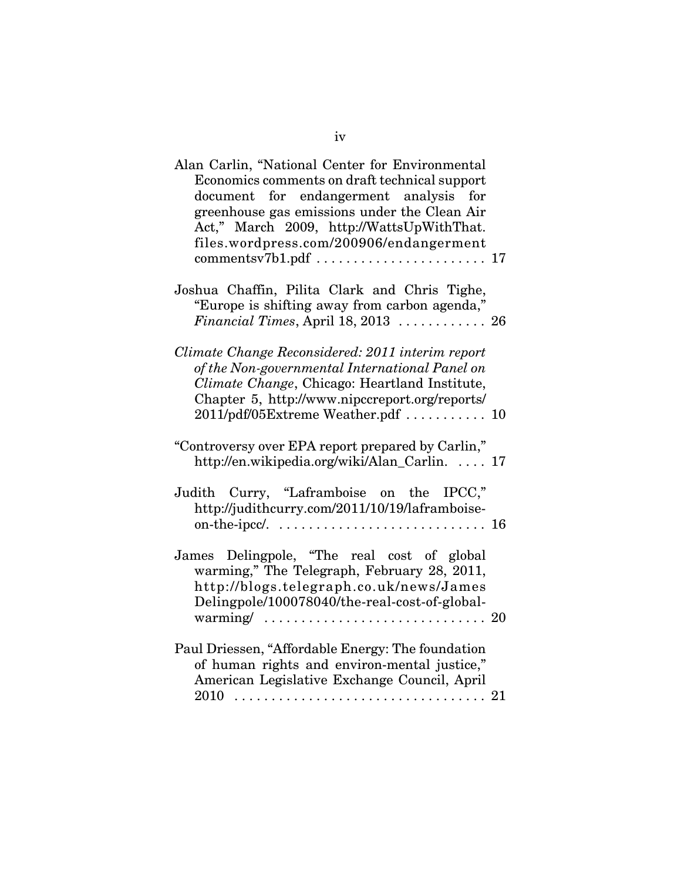| Alan Carlin, "National Center for Environmental<br>Economics comments on draft technical support<br>document for endangerment analysis for<br>greenhouse gas emissions under the Clean Air<br>Act," March 2009, http://WattsUpWithThat.<br>files.wordpress.com/200906/endangerment |  |
|------------------------------------------------------------------------------------------------------------------------------------------------------------------------------------------------------------------------------------------------------------------------------------|--|
|                                                                                                                                                                                                                                                                                    |  |
| Joshua Chaffin, Pilita Clark and Chris Tighe,<br>"Europe is shifting away from carbon agenda,"<br>Financial Times, April 18, 2013  26                                                                                                                                              |  |
| Climate Change Reconsidered: 2011 interim report<br>of the Non-governmental International Panel on<br>Climate Change, Chicago: Heartland Institute,<br>Chapter 5, http://www.nipccreport.org/reports/<br>2011/pdf/05Extreme Weather.pdf  10                                        |  |
| "Controversy over EPA report prepared by Carlin,"<br>http://en.wikipedia.org/wiki/Alan_Carlin.  17                                                                                                                                                                                 |  |
| Judith Curry, "Laframboise on the IPCC,"<br>http://judithcurry.com/2011/10/19/laframboise-                                                                                                                                                                                         |  |
| James Delingpole, "The real cost of global<br>warming," The Telegraph, February 28, 2011,<br>http://blogs.telegraph.co.uk/news/James<br>Delingpole/100078040/the-real-cost-of-global-<br>warming/ $\ldots \ldots \ldots \ldots \ldots \ldots \ldots \ldots \ldots \ldots 20$       |  |
| Paul Driessen, "Affordable Energy: The foundation<br>of human rights and environ-mental justice,"<br>American Legislative Exchange Council, April                                                                                                                                  |  |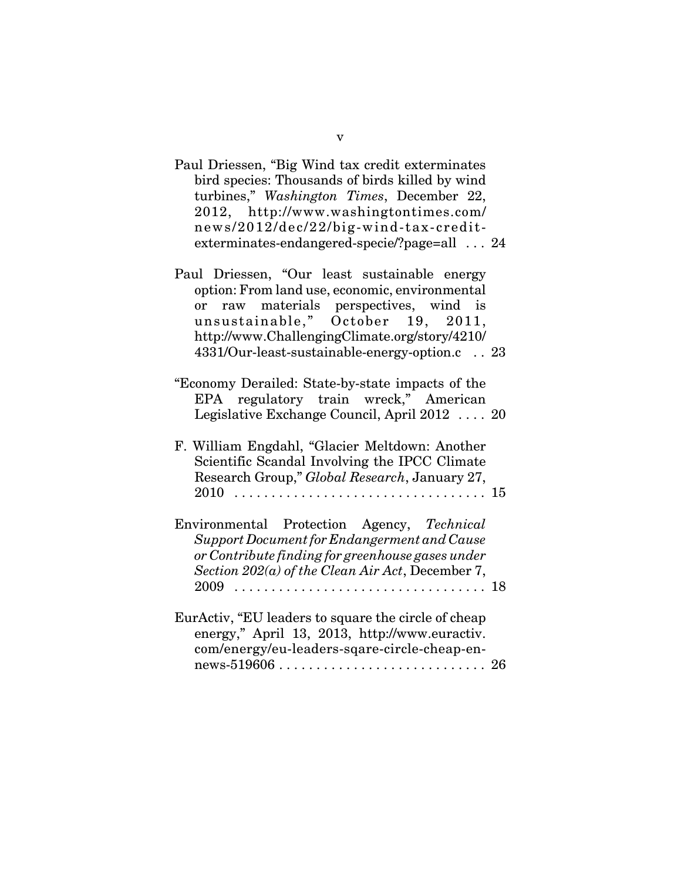| Paul Driessen, "Big Wind tax credit exterminates<br>bird species: Thousands of birds killed by wind<br>turbines," Washington Times, December 22,<br>2012, http://www.washingtontimes.com/<br>news/2012/dec/22/big-wind-tax-credit-<br>exterminates-endangered-specie/?page=all  24 |  |
|------------------------------------------------------------------------------------------------------------------------------------------------------------------------------------------------------------------------------------------------------------------------------------|--|
| Paul Driessen, "Our least sustainable energy<br>option: From land use, economic, environmental<br>or raw materials perspectives, wind is<br>unsustainable," October 19, 2011,<br>http://www.ChallengingClimate.org/story/4210/<br>4331/Our-least-sustainable-energy-option.c 23    |  |
| "Economy Derailed: State-by-state impacts of the<br>EPA regulatory train wreck," American<br>Legislative Exchange Council, April 2012  20                                                                                                                                          |  |
| F. William Engdahl, "Glacier Meltdown: Another<br>Scientific Scandal Involving the IPCC Climate<br>Research Group," Global Research, January 27,                                                                                                                                   |  |
| Environmental Protection Agency, Technical<br>Support Document for Endangerment and Cause<br>or Contribute finding for greenhouse gases under<br>Section 202(a) of the Clean Air Act, December 7,                                                                                  |  |
| EurActiv, "EU leaders to square the circle of cheap                                                                                                                                                                                                                                |  |

energy," April 13, 2013, http://www.euractiv. com/energy/eu-leaders-sqare-circle-cheap-en- ${\rm news}\text{-}519606\ldots\ldots\ldots\ldots\ldots\ldots\ldots\ldots\ldots\ldots\ 26$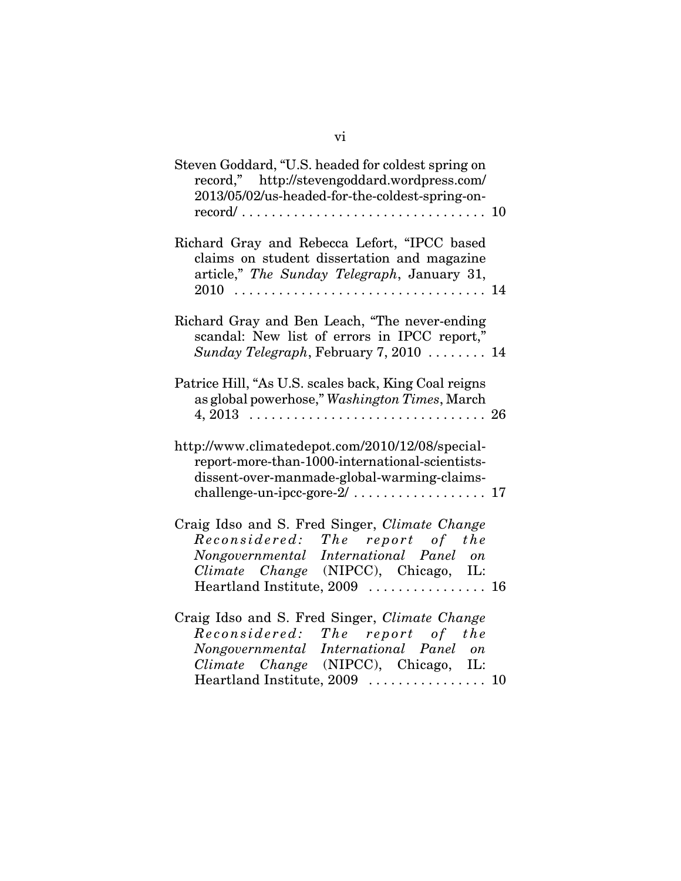| Steven Goddard, "U.S. headed for coldest spring on<br>record," http://stevengoddard.wordpress.com/<br>2013/05/02/us-headed-for-the-coldest-spring-on-                                               |  |
|-----------------------------------------------------------------------------------------------------------------------------------------------------------------------------------------------------|--|
| Richard Gray and Rebecca Lefort, "IPCC based<br>claims on student dissertation and magazine<br>article," The Sunday Telegraph, January 31,                                                          |  |
| Richard Gray and Ben Leach, "The never-ending<br>scandal: New list of errors in IPCC report,"<br>Sunday Telegraph, February 7, 2010 $\ldots \ldots$ 14                                              |  |
| Patrice Hill, "As U.S. scales back, King Coal reigns<br>as global powerhose," Washington Times, March                                                                                               |  |
| http://www.climatedepot.com/2010/12/08/special-<br>report-more-than-1000-international-scientists-<br>dissent-over-manmade-global-warming-claims-                                                   |  |
| Craig Idso and S. Fred Singer, Climate Change<br>Reconsidered: The report of the<br>Nongovernmental International Panel on<br>Climate Change (NIPCC), Chicago, IL:<br>Heartland Institute, 2009  16 |  |
| Craig Idso and S. Fred Singer, Climate Change<br>Reconsidered: The report of the<br>Nongovernmental International Panel on<br>Climate Change (NIPCC), Chicago, IL:<br>Heartland Institute, 2009  10 |  |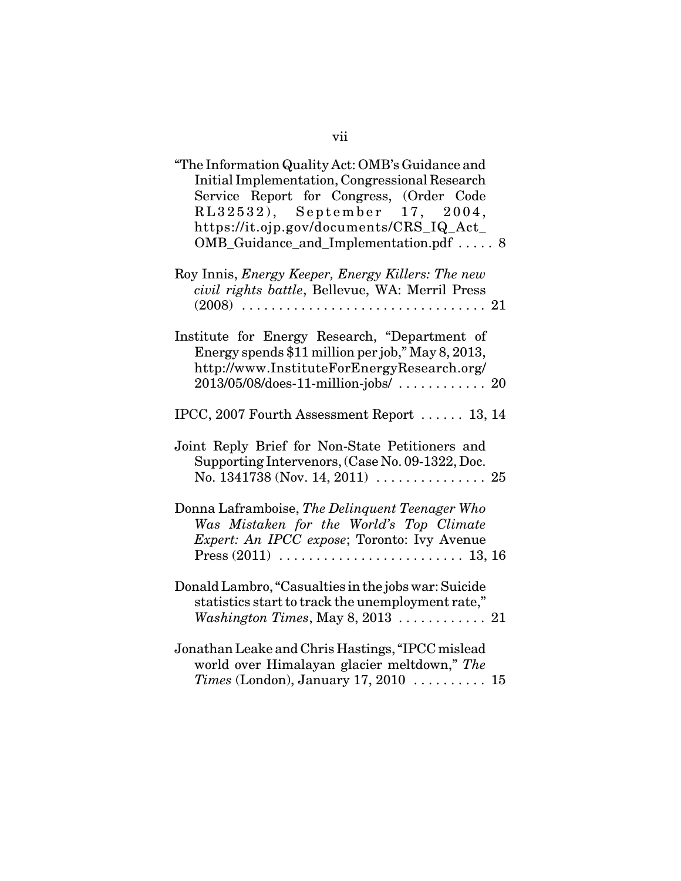| "The Information Quality Act: OMB's Guidance and<br>Initial Implementation, Congressional Research<br>Service Report for Congress, (Order Code<br>RL32532), September 17, 2004,<br>https://it.ojp.gov/documents/CRS_IQ_Act_<br>OMB_Guidance_and_Implementation.pdf  8 |  |
|-----------------------------------------------------------------------------------------------------------------------------------------------------------------------------------------------------------------------------------------------------------------------|--|
| Roy Innis, Energy Keeper, Energy Killers: The new<br>civil rights battle, Bellevue, WA: Merril Press                                                                                                                                                                  |  |
| Institute for Energy Research, "Department of<br>Energy spends \$11 million per job," May 8, 2013,<br>http://www.InstituteForEnergyResearch.org/<br>2013/05/08/does-11-million-jobs/  20                                                                              |  |
| IPCC, 2007 Fourth Assessment Report  13, 14                                                                                                                                                                                                                           |  |
| Joint Reply Brief for Non-State Petitioners and<br>Supporting Intervenors, (Case No. 09-1322, Doc.                                                                                                                                                                    |  |
| Donna Laframboise, The Delinquent Teenager Who<br>Was Mistaken for the World's Top Climate<br>Expert: An IPCC expose; Toronto: Ivy Avenue                                                                                                                             |  |
| Donald Lambro, "Casualties in the jobs war: Suicide<br>statistics start to track the unemployment rate,"                                                                                                                                                              |  |
| Jonathan Leake and Chris Hastings, "IPCC mislead<br>world over Himalayan glacier meltdown," The<br>Times (London), January 17, 2010  15                                                                                                                               |  |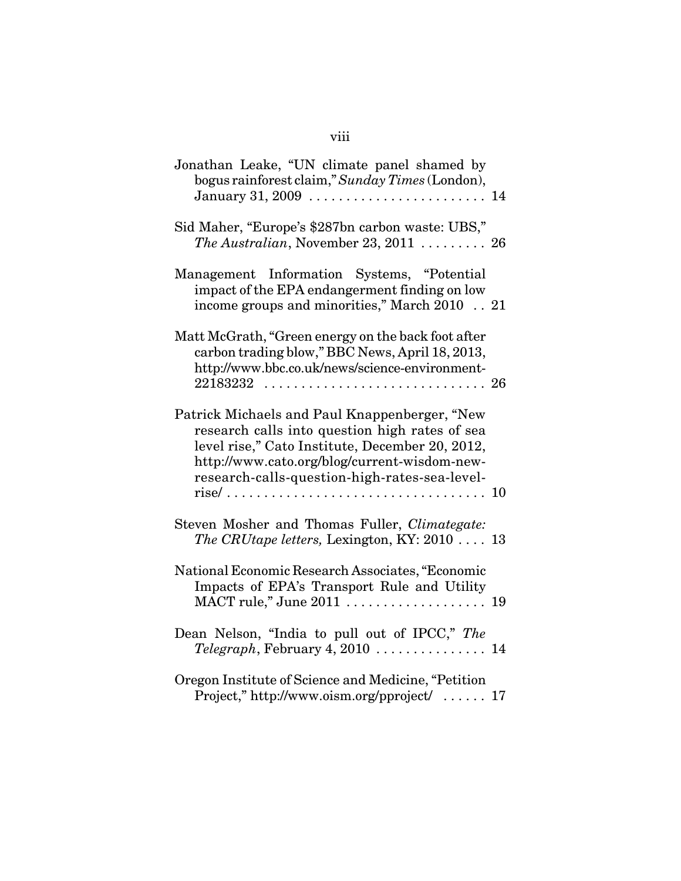| Jonathan Leake, "UN climate panel shamed by<br>bogus rainforest claim," Sunday Times (London),<br>January 31, 2009  14                                                                                                                              |
|-----------------------------------------------------------------------------------------------------------------------------------------------------------------------------------------------------------------------------------------------------|
| Sid Maher, "Europe's \$287bn carbon waste: UBS,"<br>The Australian, November 23, 2011  26                                                                                                                                                           |
| Management Information Systems, "Potential<br>impact of the EPA endangerment finding on low<br>income groups and minorities," March 2010  21                                                                                                        |
| Matt McGrath, "Green energy on the back foot after<br>carbon trading blow," BBC News, April 18, 2013,<br>http://www.bbc.co.uk/news/science-environment-<br>22183232  26                                                                             |
| Patrick Michaels and Paul Knappenberger, "New<br>research calls into question high rates of sea<br>level rise," Cato Institute, December 20, 2012,<br>http://www.cato.org/blog/current-wisdom-new-<br>research-calls-question-high-rates-sea-level- |
| Steven Mosher and Thomas Fuller, Climategate:<br>The CRUtape letters, Lexington, KY: 2010  13                                                                                                                                                       |
| National Economic Research Associates, "Economic<br>Impacts of EPA's Transport Rule and Utility<br>MACT rule," June 2011  19                                                                                                                        |
| Dean Nelson, "India to pull out of IPCC," The                                                                                                                                                                                                       |
| Oregon Institute of Science and Medicine, "Petition<br>Project," http://www.oism.org/pproject/  17                                                                                                                                                  |

# viii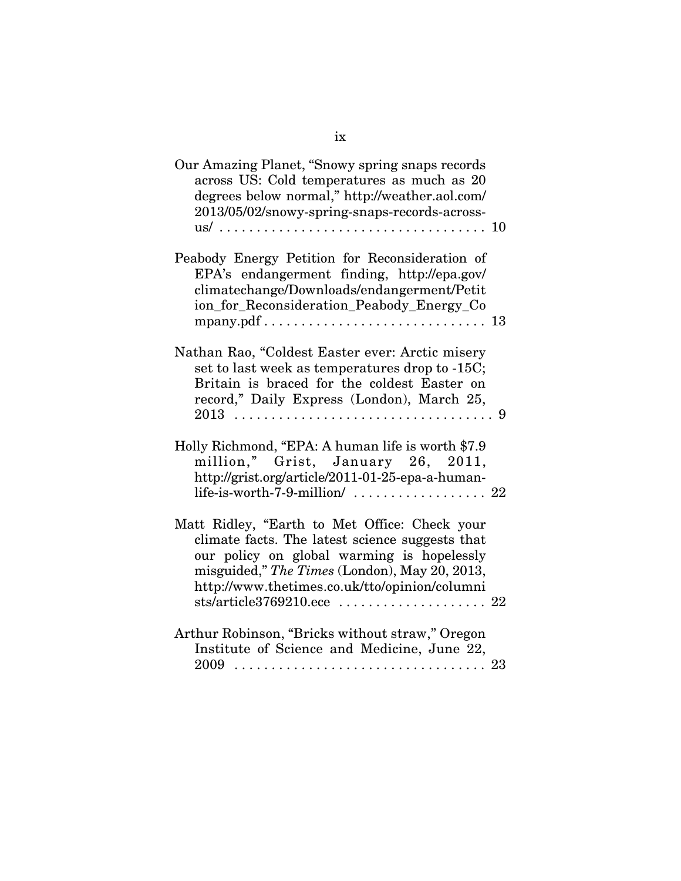| Our Amazing Planet, "Snowy spring snaps records<br>across US: Cold temperatures as much as 20<br>degrees below normal," http://weather.aol.com/<br>2013/05/02/snowy-spring-snaps-records-across-                                                 |  |
|--------------------------------------------------------------------------------------------------------------------------------------------------------------------------------------------------------------------------------------------------|--|
| Peabody Energy Petition for Reconsideration of<br>EPA's endangerment finding, http://epa.gov/<br>climatechange/Downloads/endangerment/Petit<br>ion_for_Reconsideration_Peabody_Energy_Co                                                         |  |
| Nathan Rao, "Coldest Easter ever: Arctic misery<br>set to last week as temperatures drop to -15C;<br>Britain is braced for the coldest Easter on<br>record," Daily Express (London), March 25,                                                   |  |
| Holly Richmond, "EPA: A human life is worth \$7.9<br>million," Grist, January 26, 2011,<br>http://grist.org/article/2011-01-25-epa-a-human-<br>life-is-worth-7-9-million/ $\ldots \ldots \ldots \ldots \ldots 22$                                |  |
| Matt Ridley, "Earth to Met Office: Check your<br>climate facts. The latest science suggests that<br>our policy on global warming is hopelessly<br>misguided," The Times (London), May 20, 2013,<br>http://www.thetimes.co.uk/tto/opinion/columni |  |
| Arthur Robinson, "Bricks without straw," Oregon<br>Institute of Science and Medicine, June 22,                                                                                                                                                   |  |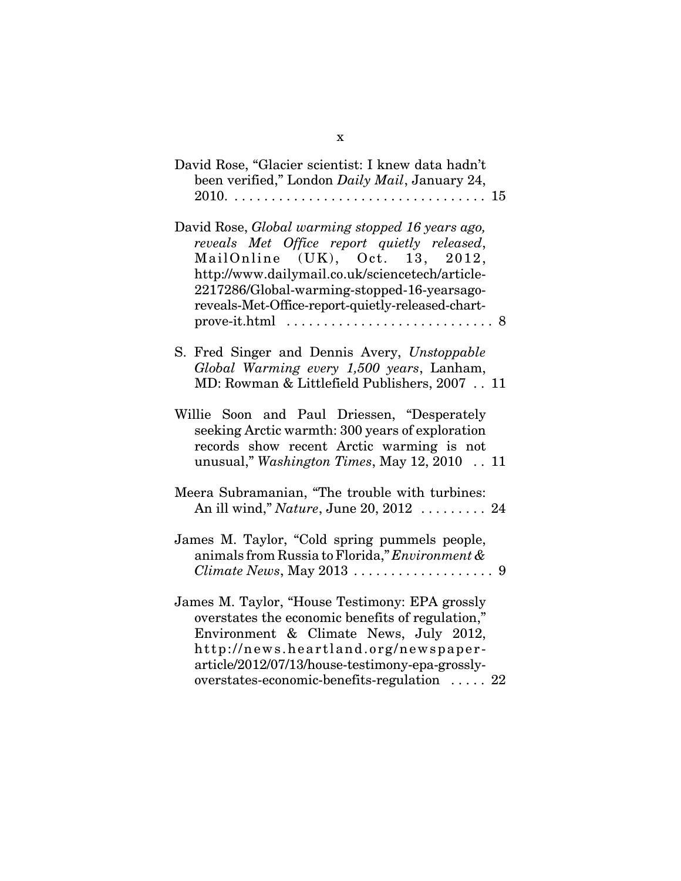| David Rose, "Glacier scientist: I knew data hadn't<br>been verified," London Daily Mail, January 24,                                                                                                                                                                                      |
|-------------------------------------------------------------------------------------------------------------------------------------------------------------------------------------------------------------------------------------------------------------------------------------------|
| David Rose, Global warming stopped 16 years ago,<br>reveals Met Office report quietly released,<br>MailOnline (UK), Oct. 13, 2012,<br>http://www.dailymail.co.uk/sciencetech/article-<br>2217286/Global-warming-stopped-16-yearsago-<br>reveals-Met-Office-report-quietly-released-chart- |
| S. Fred Singer and Dennis Avery, Unstoppable<br>Global Warming every 1,500 years, Lanham,<br>MD: Rowman & Littlefield Publishers, 2007 11                                                                                                                                                 |
| Willie Soon and Paul Driessen, "Desperately<br>seeking Arctic warmth: 300 years of exploration<br>records show recent Arctic warming is not<br>unusual," Washington Times, May 12, 2010  11                                                                                               |
| Meera Subramanian, "The trouble with turbines:<br>An ill wind," Nature, June 20, 2012  24                                                                                                                                                                                                 |
| James M. Taylor, "Cold spring pummels people,<br>animals from Russia to Florida," Environment &<br><i>Climate News, May 2013</i> $\ldots \ldots \ldots \ldots \ldots$ . 9                                                                                                                 |
| James M. Taylor, "House Testimony: EPA grossly<br>overstates the economic benefits of regulation,"<br>Environment & Climate News, July 2012,<br>http://news.heartland.org/newspaper-<br>article/2012/07/13/house-testimony-epa-grossly-<br>overstates-economic-benefits-regulation  22    |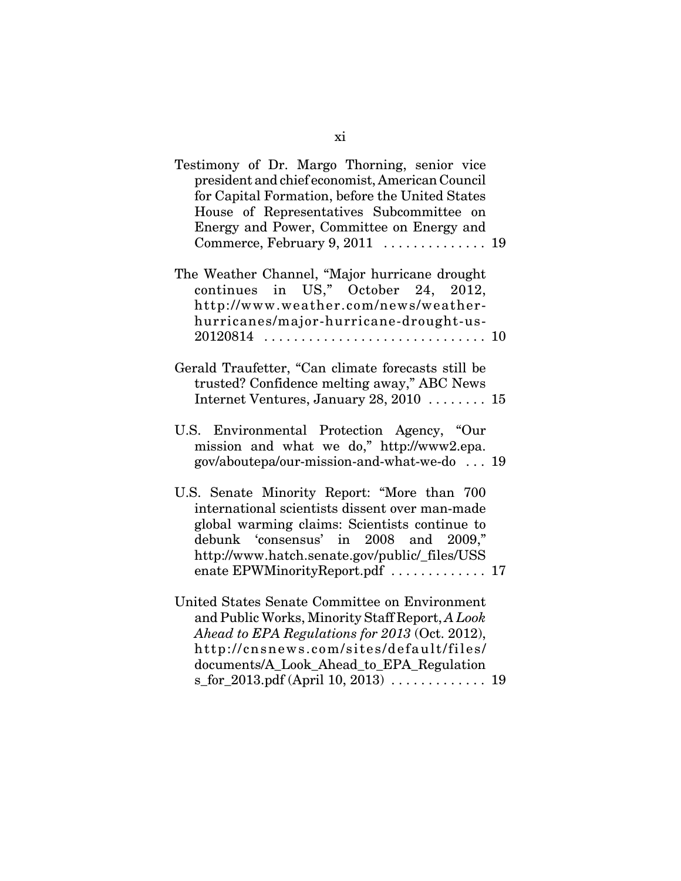| Testimony of Dr. Margo Thorning, senior vice<br>president and chief economist, American Council<br>for Capital Formation, before the United States<br>House of Representatives Subcommittee on<br>Energy and Power, Committee on Energy and                                 |  |
|-----------------------------------------------------------------------------------------------------------------------------------------------------------------------------------------------------------------------------------------------------------------------------|--|
| The Weather Channel, "Major hurricane drought<br>continues in US," October 24, 2012,<br>http://www.weather.com/news/weather-<br>hurricanes/major-hurricane-drought-us-                                                                                                      |  |
| Gerald Traufetter, "Can climate forecasts still be<br>trusted? Confidence melting away," ABC News<br>Internet Ventures, January 28, 2010  15                                                                                                                                |  |
| U.S. Environmental Protection Agency, "Our<br>mission and what we do," http://www2.epa.<br>gov/aboutepa/our-mission-and-what-we-do  19                                                                                                                                      |  |
| U.S. Senate Minority Report: "More than 700<br>international scientists dissent over man-made<br>global warming claims: Scientists continue to<br>debunk 'consensus' in 2008 and 2009,"<br>http://www.hatch.senate.gov/public/_files/USS<br>enate EPWMinorityReport.pdf  17 |  |
| United States Senate Committee on Environment<br>and Public Works, Minority Staff Report, A Look<br>Ahead to EPA Regulations for 2013 (Oct. 2012),<br>http://cnsnews.com/sites/default/files/<br>documents/A_Look_Ahead_to_EPA_Regulation                                   |  |
| s_for_2013.pdf (April 10, 2013)  19                                                                                                                                                                                                                                         |  |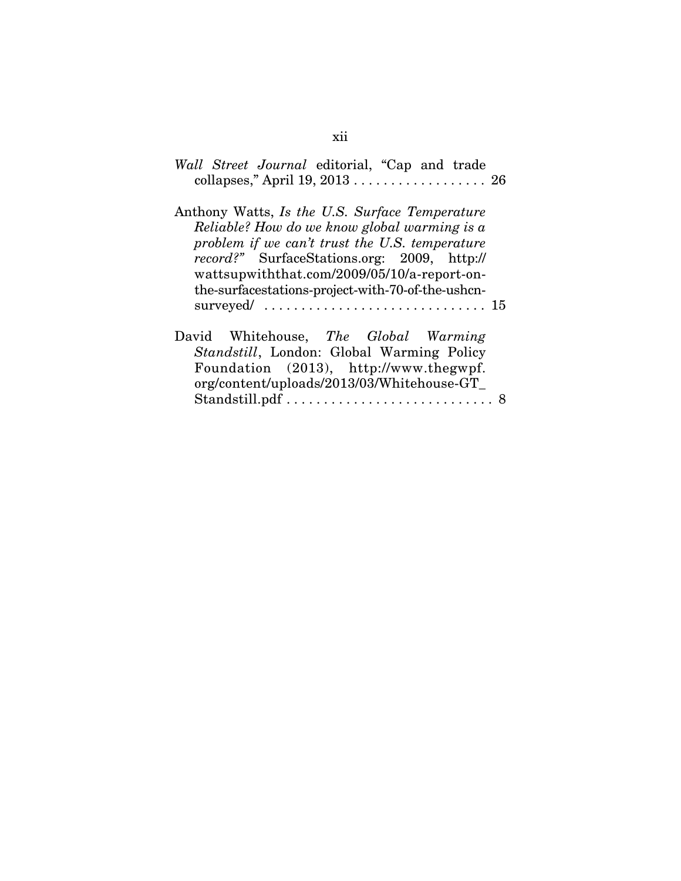| Wall Street Journal editorial, "Cap and trade<br>collapses," April 19, 2013  26                                                                                                                                                                                                                            |
|------------------------------------------------------------------------------------------------------------------------------------------------------------------------------------------------------------------------------------------------------------------------------------------------------------|
| Anthony Watts, Is the U.S. Surface Temperature<br>Reliable? How do we know global warming is a<br>problem if we can't trust the U.S. temperature<br><i>record?"</i> SurfaceStations.org: 2009, http://<br>wattsupwiththat.com/2009/05/10/a-report-on-<br>the-surfacestations-project-with-70-of-the-ushcn- |
|                                                                                                                                                                                                                                                                                                            |
| David Whitehouse, The Global Warming<br>Standstill, London: Global Warming Policy<br>Foundation (2013), http://www.thegwpf.<br>org/content/uploads/2013/03/Whitehouse-GT_                                                                                                                                  |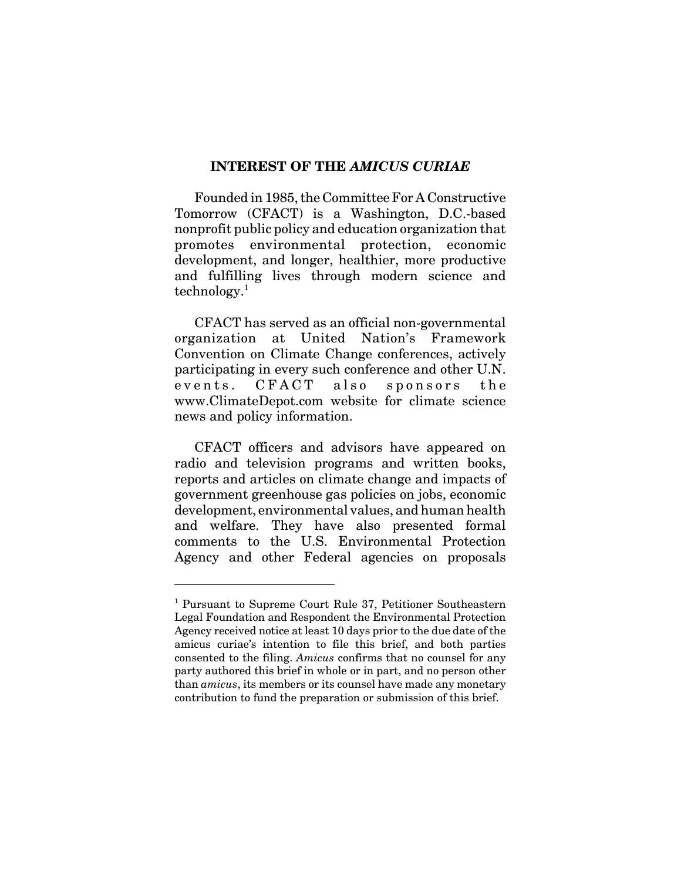### **INTEREST OF THE** *AMICUS CURIAE*

Founded in 1985, the Committee For A Constructive Tomorrow (CFACT) is a Washington, D.C.-based nonprofit public policy and education organization that promotes environmental protection, economic development, and longer, healthier, more productive and fulfilling lives through modern science and technology.<sup>1</sup>

CFACT has served as an official non-governmental organization at United Nation's Framework Convention on Climate Change conferences, actively participating in every such conference and other U.N. events. CFACT also sponsors the www.ClimateDepot.com website for climate science news and policy information.

CFACT officers and advisors have appeared on radio and television programs and written books, reports and articles on climate change and impacts of government greenhouse gas policies on jobs, economic development, environmental values, and human health and welfare. They have also presented formal comments to the U.S. Environmental Protection Agency and other Federal agencies on proposals

<sup>&</sup>lt;sup>1</sup> Pursuant to Supreme Court Rule 37, Petitioner Southeastern Legal Foundation and Respondent the Environmental Protection Agency received notice at least 10 days prior to the due date of the amicus curiae's intention to file this brief, and both parties consented to the filing. *Amicus* confirms that no counsel for any party authored this brief in whole or in part, and no person other than *amicus*, its members or its counsel have made any monetary contribution to fund the preparation or submission of this brief.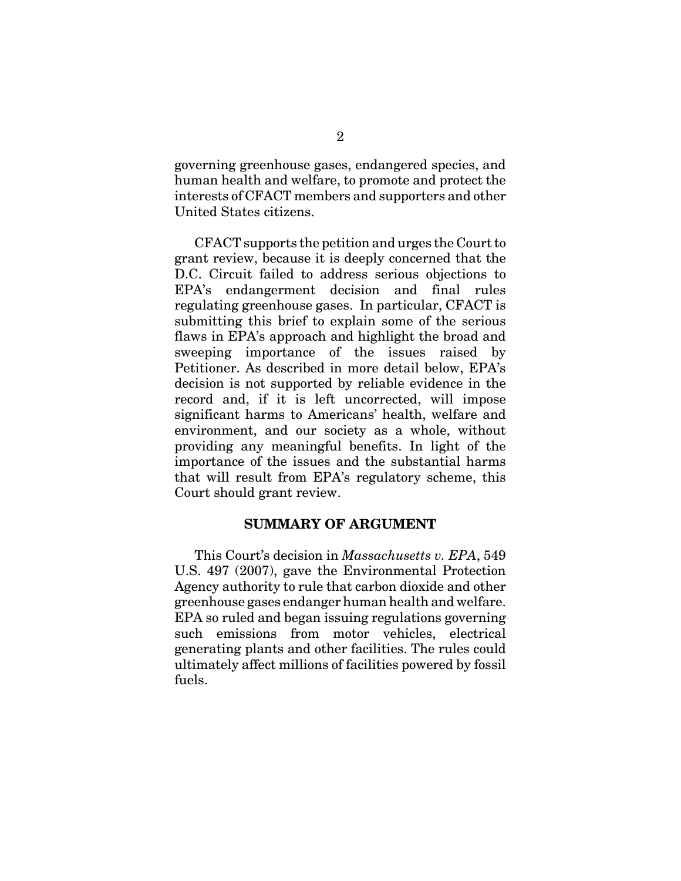governing greenhouse gases, endangered species, and human health and welfare, to promote and protect the interests of CFACT members and supporters and other United States citizens.

CFACT supports the petition and urges the Court to grant review, because it is deeply concerned that the D.C. Circuit failed to address serious objections to EPA's endangerment decision and final rules regulating greenhouse gases. In particular, CFACT is submitting this brief to explain some of the serious flaws in EPA's approach and highlight the broad and sweeping importance of the issues raised by Petitioner. As described in more detail below, EPA's decision is not supported by reliable evidence in the record and, if it is left uncorrected, will impose significant harms to Americans' health, welfare and environment, and our society as a whole, without providing any meaningful benefits. In light of the importance of the issues and the substantial harms that will result from EPA's regulatory scheme, this Court should grant review.

#### **SUMMARY OF ARGUMENT**

This Court's decision in *Massachusetts v. EPA*, 549 U.S. 497 (2007), gave the Environmental Protection Agency authority to rule that carbon dioxide and other greenhouse gases endanger human health and welfare. EPA so ruled and began issuing regulations governing such emissions from motor vehicles, electrical generating plants and other facilities. The rules could ultimately affect millions of facilities powered by fossil fuels.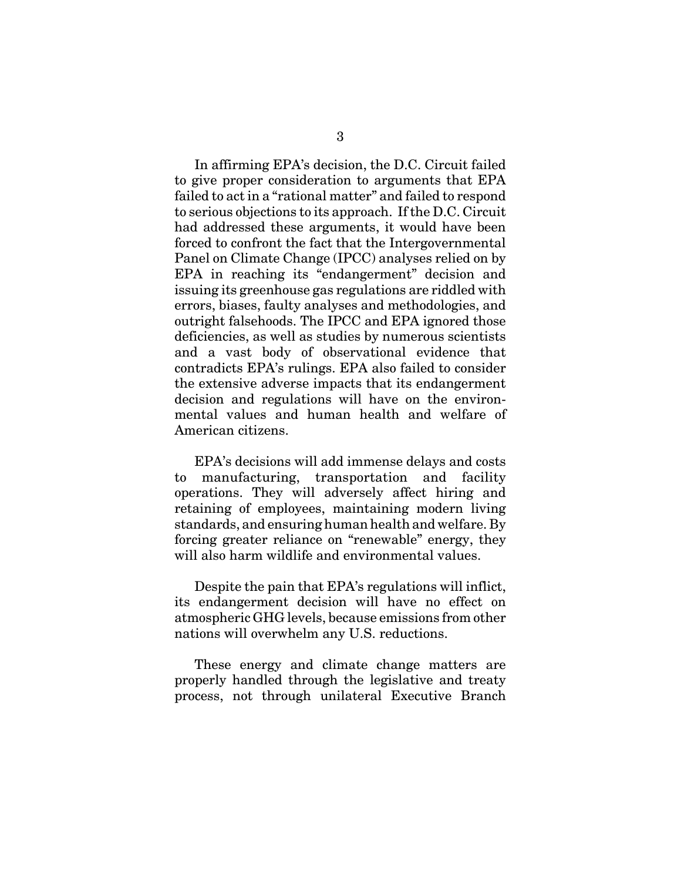In affirming EPA's decision, the D.C. Circuit failed to give proper consideration to arguments that EPA failed to act in a "rational matter" and failed to respond to serious objections to its approach. If the D.C. Circuit had addressed these arguments, it would have been forced to confront the fact that the Intergovernmental Panel on Climate Change (IPCC) analyses relied on by EPA in reaching its "endangerment" decision and issuing its greenhouse gas regulations are riddled with errors, biases, faulty analyses and methodologies, and outright falsehoods. The IPCC and EPA ignored those deficiencies, as well as studies by numerous scientists and a vast body of observational evidence that contradicts EPA's rulings. EPA also failed to consider the extensive adverse impacts that its endangerment decision and regulations will have on the environmental values and human health and welfare of American citizens.

EPA's decisions will add immense delays and costs to manufacturing, transportation and facility operations. They will adversely affect hiring and retaining of employees, maintaining modern living standards, and ensuring human health and welfare. By forcing greater reliance on "renewable" energy, they will also harm wildlife and environmental values.

Despite the pain that EPA's regulations will inflict, its endangerment decision will have no effect on atmospheric GHG levels, because emissions from other nations will overwhelm any U.S. reductions.

These energy and climate change matters are properly handled through the legislative and treaty process, not through unilateral Executive Branch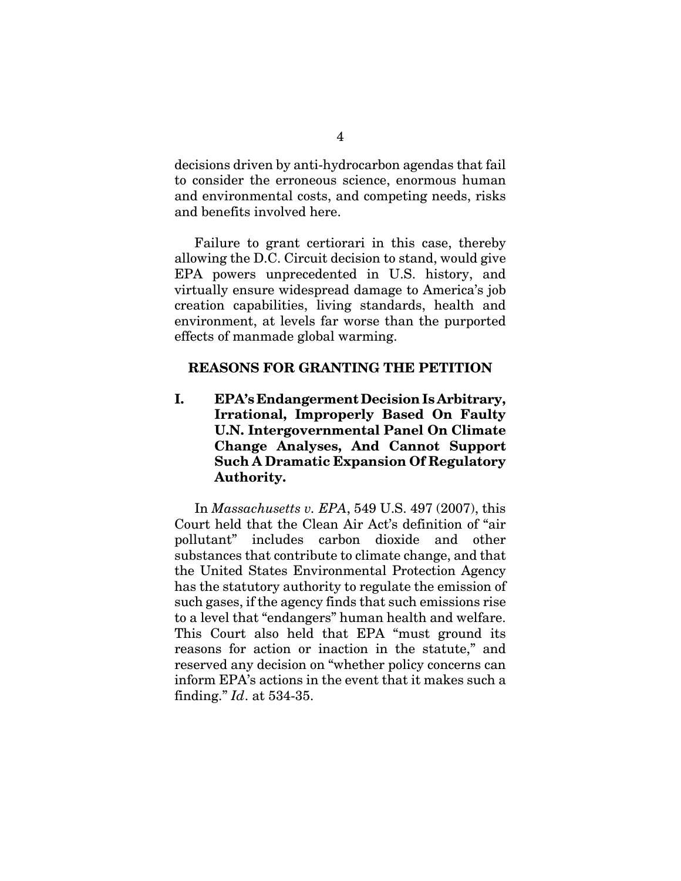decisions driven by anti-hydrocarbon agendas that fail to consider the erroneous science, enormous human and environmental costs, and competing needs, risks and benefits involved here.

Failure to grant certiorari in this case, thereby allowing the D.C. Circuit decision to stand, would give EPA powers unprecedented in U.S. history, and virtually ensure widespread damage to America's job creation capabilities, living standards, health and environment, at levels far worse than the purported effects of manmade global warming.

### **REASONS FOR GRANTING THE PETITION**

**I. EPA's Endangerment Decision Is Arbitrary, Irrational, Improperly Based On Faulty U.N. Intergovernmental Panel On Climate Change Analyses, And Cannot Support Such A Dramatic Expansion Of Regulatory Authority.** 

In *Massachusetts v. EPA*, 549 U.S. 497 (2007), this Court held that the Clean Air Act's definition of "air pollutant" includes carbon dioxide and other substances that contribute to climate change, and that the United States Environmental Protection Agency has the statutory authority to regulate the emission of such gases, if the agency finds that such emissions rise to a level that "endangers" human health and welfare. This Court also held that EPA "must ground its reasons for action or inaction in the statute," and reserved any decision on "whether policy concerns can inform EPA's actions in the event that it makes such a finding." *Id*. at 534-35.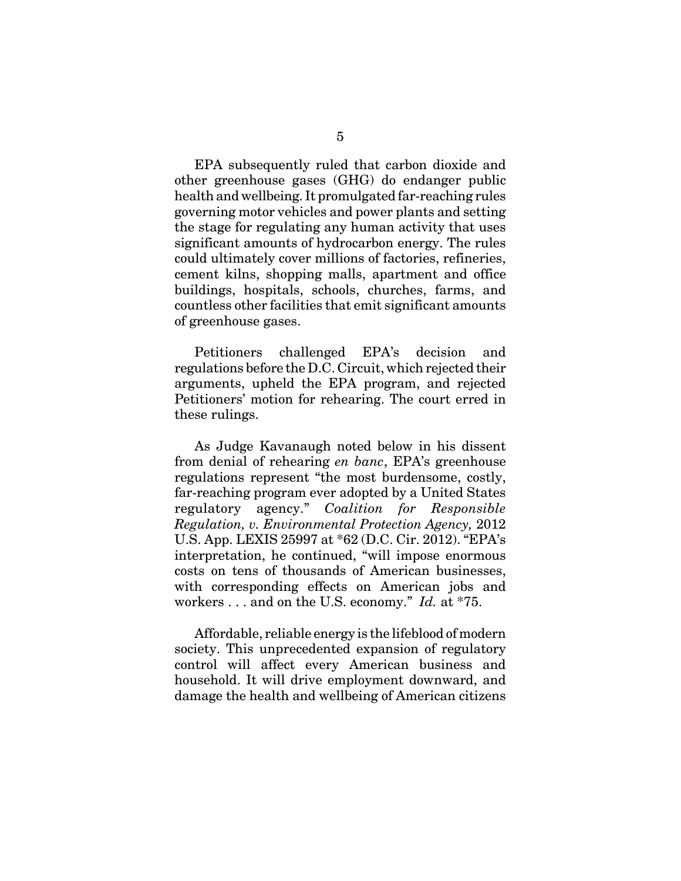EPA subsequently ruled that carbon dioxide and other greenhouse gases (GHG) do endanger public health and wellbeing. It promulgated far-reaching rules governing motor vehicles and power plants and setting the stage for regulating any human activity that uses significant amounts of hydrocarbon energy. The rules could ultimately cover millions of factories, refineries, cement kilns, shopping malls, apartment and office buildings, hospitals, schools, churches, farms, and countless other facilities that emit significant amounts of greenhouse gases.

Petitioners challenged EPA's decision and regulations before the D.C. Circuit, which rejected their arguments, upheld the EPA program, and rejected Petitioners' motion for rehearing. The court erred in these rulings.

As Judge Kavanaugh noted below in his dissent from denial of rehearing *en banc*, EPA's greenhouse regulations represent "the most burdensome, costly, far-reaching program ever adopted by a United States regulatory agency." *Coalition for Responsible Regulation, v. Environmental Protection Agency,* 2012 U.S. App. LEXIS 25997 at \*62 (D.C. Cir. 2012). "EPA's interpretation, he continued, "will impose enormous costs on tens of thousands of American businesses, with corresponding effects on American jobs and workers . . . and on the U.S. economy." *Id.* at \*75.

Affordable, reliable energy is the lifeblood of modern society. This unprecedented expansion of regulatory control will affect every American business and household. It will drive employment downward, and damage the health and wellbeing of American citizens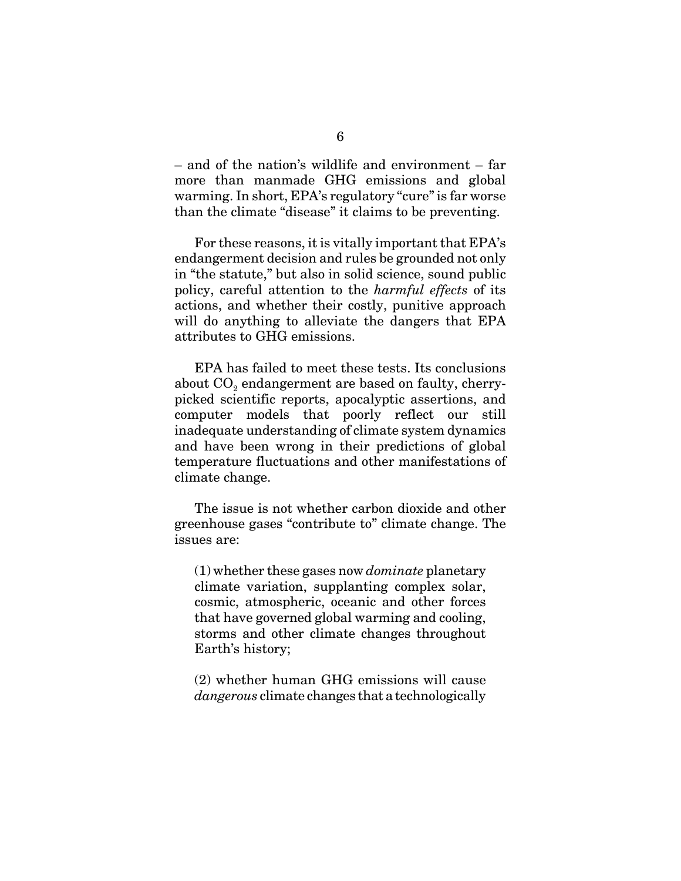– and of the nation's wildlife and environment – far more than manmade GHG emissions and global warming. In short, EPA's regulatory "cure" is far worse than the climate "disease" it claims to be preventing.

For these reasons, it is vitally important that EPA's endangerment decision and rules be grounded not only in "the statute," but also in solid science, sound public policy, careful attention to the *harmful effects* of its actions, and whether their costly, punitive approach will do anything to alleviate the dangers that EPA attributes to GHG emissions.

EPA has failed to meet these tests. Its conclusions about  $CO<sub>2</sub>$  endangerment are based on faulty, cherrypicked scientific reports, apocalyptic assertions, and computer models that poorly reflect our still inadequate understanding of climate system dynamics and have been wrong in their predictions of global temperature fluctuations and other manifestations of climate change.

The issue is not whether carbon dioxide and other greenhouse gases "contribute to" climate change. The issues are:

(1) whether these gases now *dominate* planetary climate variation, supplanting complex solar, cosmic, atmospheric, oceanic and other forces that have governed global warming and cooling, storms and other climate changes throughout Earth's history;

(2) whether human GHG emissions will cause *dangerous* climate changes that a technologically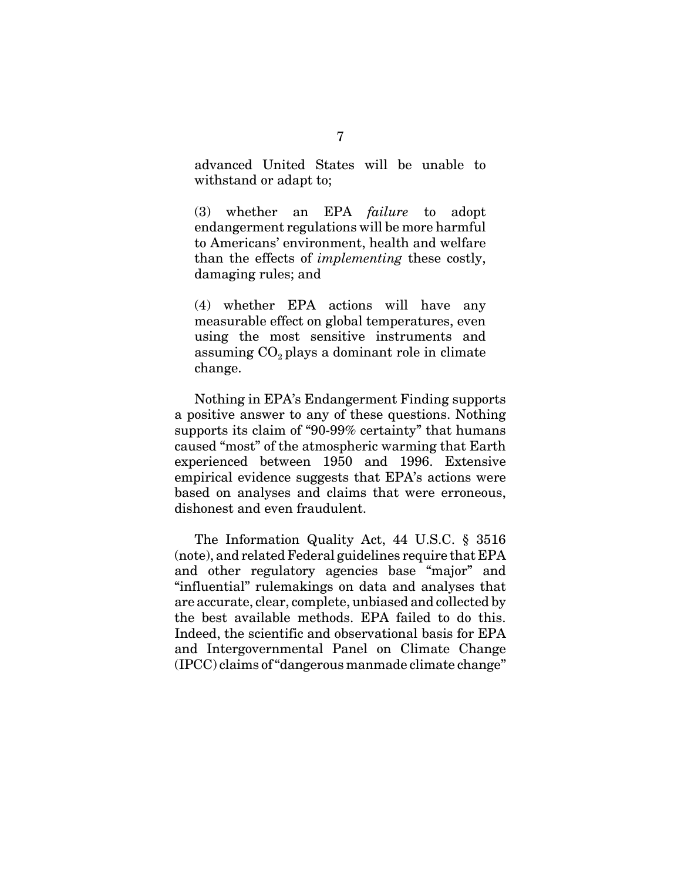advanced United States will be unable to withstand or adapt to;

(3) whether an EPA *failure* to adopt endangerment regulations will be more harmful to Americans' environment, health and welfare than the effects of *implementing* these costly, damaging rules; and

(4) whether EPA actions will have any measurable effect on global temperatures, even using the most sensitive instruments and assuming  $CO<sub>2</sub>$  plays a dominant role in climate change.

Nothing in EPA's Endangerment Finding supports a positive answer to any of these questions. Nothing supports its claim of "90-99% certainty" that humans caused "most" of the atmospheric warming that Earth experienced between 1950 and 1996. Extensive empirical evidence suggests that EPA's actions were based on analyses and claims that were erroneous, dishonest and even fraudulent.

The Information Quality Act, 44 U.S.C. § 3516 (note), and related Federal guidelines require that EPA and other regulatory agencies base "major" and "influential" rulemakings on data and analyses that are accurate, clear, complete, unbiased and collected by the best available methods. EPA failed to do this. Indeed, the scientific and observational basis for EPA and Intergovernmental Panel on Climate Change (IPCC) claims of "dangerous manmade climate change"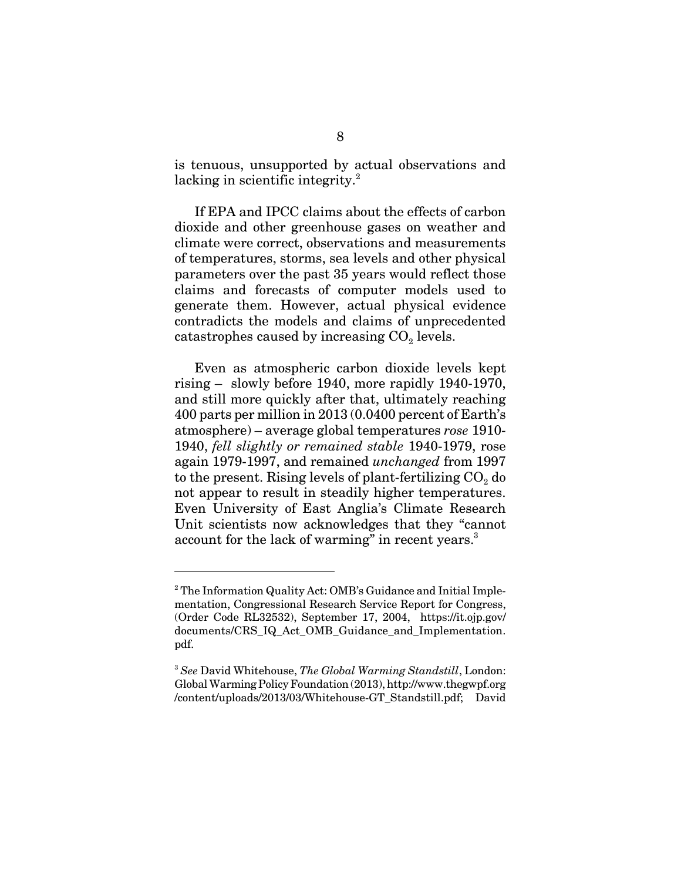is tenuous, unsupported by actual observations and lacking in scientific integrity.<sup>2</sup>

If EPA and IPCC claims about the effects of carbon dioxide and other greenhouse gases on weather and climate were correct, observations and measurements of temperatures, storms, sea levels and other physical parameters over the past 35 years would reflect those claims and forecasts of computer models used to generate them. However, actual physical evidence contradicts the models and claims of unprecedented catastrophes caused by increasing  $CO<sub>2</sub>$  levels.

Even as atmospheric carbon dioxide levels kept rising – slowly before 1940, more rapidly 1940-1970, and still more quickly after that, ultimately reaching 400 parts per million in 2013 (0.0400 percent of Earth's atmosphere) – average global temperatures *rose* 1910- 1940, *fell slightly or remained stable* 1940-1979, rose again 1979-1997, and remained *unchanged* from 1997 to the present. Rising levels of plant-fertilizing  $CO<sub>2</sub>$  do not appear to result in steadily higher temperatures. Even University of East Anglia's Climate Research Unit scientists now acknowledges that they "cannot account for the lack of warming" in recent years.<sup>3</sup>

<sup>&</sup>lt;sup>2</sup> The Information Quality Act: OMB's Guidance and Initial Implementation, Congressional Research Service Report for Congress, (Order Code RL32532), September 17, 2004, https://it.ojp.gov/ documents/CRS\_IQ\_Act\_OMB\_Guidance\_and\_Implementation. pdf.

<sup>3</sup> *See* David Whitehouse, *The Global Warming Standstill*, London: Global Warming Policy Foundation (2013), http://www.thegwpf.org /content/uploads/2013/03/Whitehouse-GT\_Standstill.pdf; David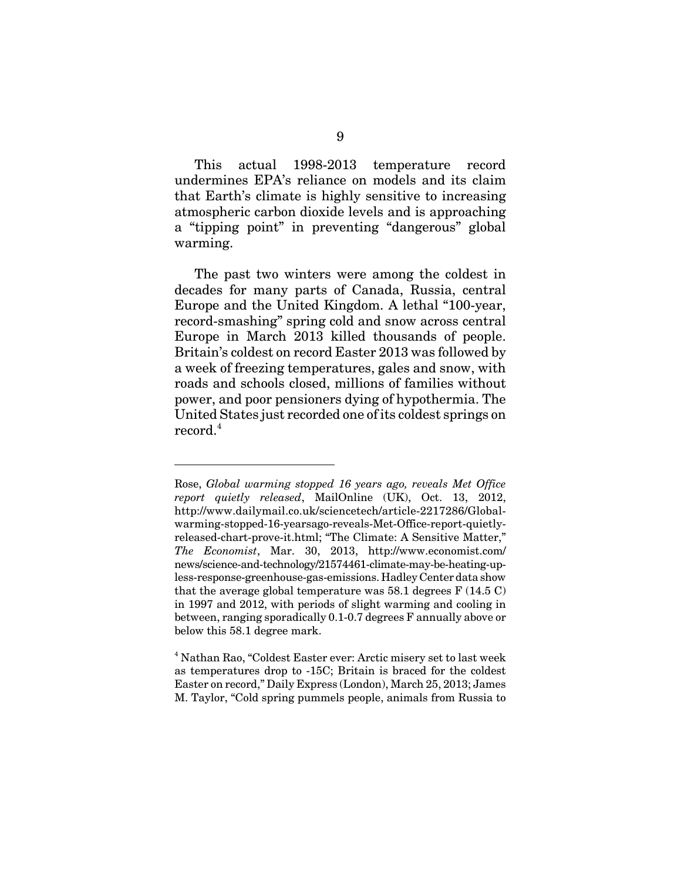This actual 1998-2013 temperature record undermines EPA's reliance on models and its claim that Earth's climate is highly sensitive to increasing atmospheric carbon dioxide levels and is approaching a "tipping point" in preventing "dangerous" global warming.

The past two winters were among the coldest in decades for many parts of Canada, Russia, central Europe and the United Kingdom. A lethal "100-year, record-smashing" spring cold and snow across central Europe in March 2013 killed thousands of people. Britain's coldest on record Easter 2013 was followed by a week of freezing temperatures, gales and snow, with roads and schools closed, millions of families without power, and poor pensioners dying of hypothermia. The United States just recorded one of its coldest springs on record.<sup>4</sup>

Rose, *Global warming stopped 16 years ago, reveals Met Office report quietly released*, MailOnline (UK), Oct. 13, 2012, http://www.dailymail.co.uk/sciencetech/article-2217286/Globalwarming-stopped-16-yearsago-reveals-Met-Office-report-quietlyreleased-chart-prove-it.html; "The Climate: A Sensitive Matter," *The Economist*, Mar. 30, 2013, http://www.economist.com/ news/science-and-technology/21574461-climate-may-be-heating-upless-response-greenhouse-gas-emissions. Hadley Center data show that the average global temperature was 58.1 degrees  $F(14.5 C)$ in 1997 and 2012, with periods of slight warming and cooling in between, ranging sporadically 0.1-0.7 degrees F annually above or below this 58.1 degree mark.

<sup>&</sup>lt;sup>4</sup> Nathan Rao, "Coldest Easter ever: Arctic misery set to last week as temperatures drop to -15C; Britain is braced for the coldest Easter on record," Daily Express (London), March 25, 2013; James M. Taylor, "Cold spring pummels people, animals from Russia to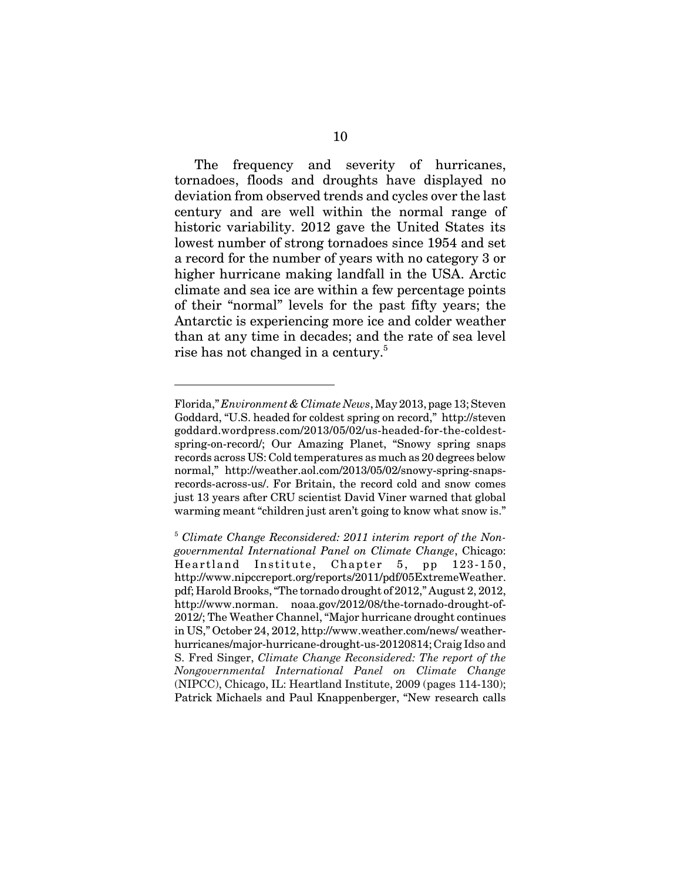The frequency and severity of hurricanes, tornadoes, floods and droughts have displayed no deviation from observed trends and cycles over the last century and are well within the normal range of historic variability. 2012 gave the United States its lowest number of strong tornadoes since 1954 and set a record for the number of years with no category 3 or higher hurricane making landfall in the USA. Arctic climate and sea ice are within a few percentage points of their "normal" levels for the past fifty years; the Antarctic is experiencing more ice and colder weather than at any time in decades; and the rate of sea level rise has not changed in a century.<sup>5</sup>

Florida," *Environment & Climate News*, May 2013, page 13; Steven Goddard, "U.S. headed for coldest spring on record," http://steven goddard.wordpress.com/2013/05/02/us-headed-for-the-coldestspring-on-record/; Our Amazing Planet, "Snowy spring snaps records across US: Cold temperatures as much as 20 degrees below normal," http://weather.aol.com/2013/05/02/snowy-spring-snapsrecords-across-us/. For Britain, the record cold and snow comes just 13 years after CRU scientist David Viner warned that global warming meant "children just aren't going to know what snow is."

<sup>5</sup> *Climate Change Reconsidered: 2011 interim report of the Nongovernmental International Panel on Climate Change*, Chicago: Heartland Institute, Chapter 5, pp 123-150, http://www.nipccreport.org/reports/2011/pdf/05ExtremeWeather. pdf; Harold Brooks, "The tornado drought of 2012," August 2, 2012, http://www.norman. noaa.gov/2012/08/the-tornado-drought-of-2012/; The Weather Channel, "Major hurricane drought continues in US," October 24, 2012, http://www.weather.com/news/ weatherhurricanes/major-hurricane-drought-us-20120814; Craig Idso and S. Fred Singer, *Climate Change Reconsidered: The report of the Nongovernmental International Panel on Climate Change* (NIPCC), Chicago, IL: Heartland Institute, 2009 (pages 114-130); Patrick Michaels and Paul Knappenberger, "New research calls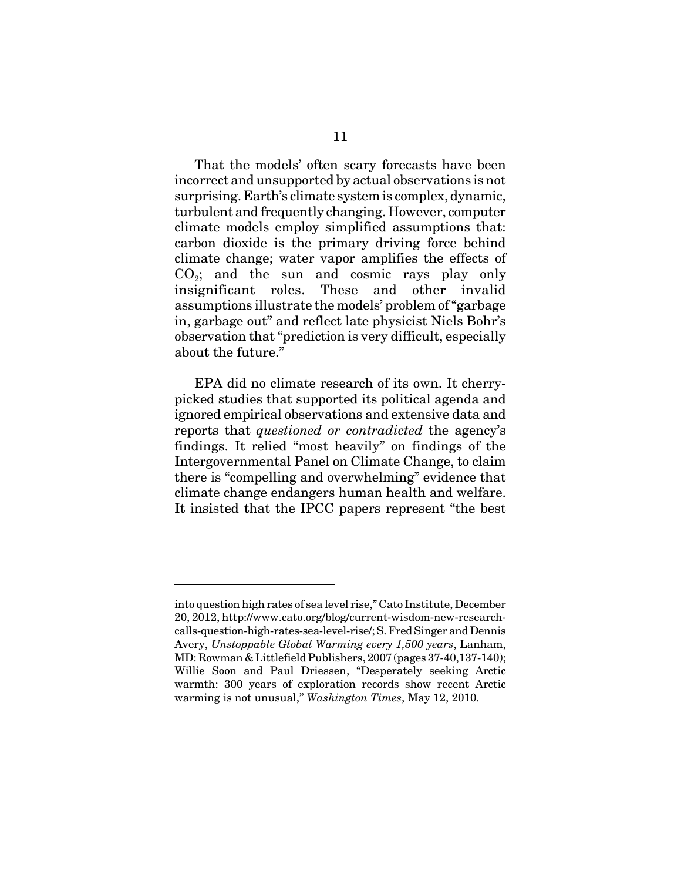That the models' often scary forecasts have been incorrect and unsupported by actual observations is not surprising. Earth's climate system is complex, dynamic, turbulent and frequently changing. However, computer climate models employ simplified assumptions that: carbon dioxide is the primary driving force behind climate change; water vapor amplifies the effects of  $CO<sub>2</sub>$ ; and the sun and cosmic rays play only insignificant roles. These and other invalid assumptions illustrate the models' problem of "garbage in, garbage out" and reflect late physicist Niels Bohr's observation that "prediction is very difficult, especially about the future."

EPA did no climate research of its own. It cherrypicked studies that supported its political agenda and ignored empirical observations and extensive data and reports that *questioned or contradicted* the agency's findings. It relied "most heavily" on findings of the Intergovernmental Panel on Climate Change, to claim there is "compelling and overwhelming" evidence that climate change endangers human health and welfare. It insisted that the IPCC papers represent "the best

into question high rates of sea level rise," Cato Institute, December 20, 2012, http://www.cato.org/blog/current-wisdom-new-researchcalls-question-high-rates-sea-level-rise/; S. Fred Singer and Dennis Avery, *Unstoppable Global Warming every 1,500 years*, Lanham, MD: Rowman & Littlefield Publishers, 2007 (pages 37-40,137-140); Willie Soon and Paul Driessen, "Desperately seeking Arctic warmth: 300 years of exploration records show recent Arctic warming is not unusual," *Washington Times*, May 12, 2010.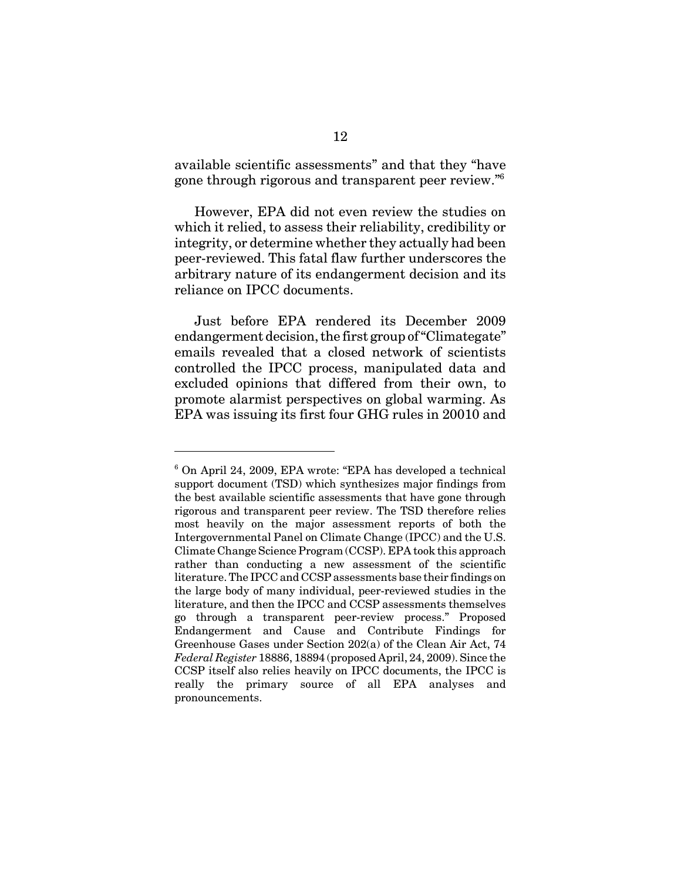available scientific assessments" and that they "have gone through rigorous and transparent peer review."6

However, EPA did not even review the studies on which it relied, to assess their reliability, credibility or integrity, or determine whether they actually had been peer-reviewed. This fatal flaw further underscores the arbitrary nature of its endangerment decision and its reliance on IPCC documents.

Just before EPA rendered its December 2009 endangerment decision, the first group of "Climategate" emails revealed that a closed network of scientists controlled the IPCC process, manipulated data and excluded opinions that differed from their own, to promote alarmist perspectives on global warming. As EPA was issuing its first four GHG rules in 20010 and

<sup>6</sup> On April 24, 2009, EPA wrote: "EPA has developed a technical support document (TSD) which synthesizes major findings from the best available scientific assessments that have gone through rigorous and transparent peer review. The TSD therefore relies most heavily on the major assessment reports of both the Intergovernmental Panel on Climate Change (IPCC) and the U.S. Climate Change Science Program (CCSP). EPA took this approach rather than conducting a new assessment of the scientific literature. The IPCC and CCSP assessments base their findings on the large body of many individual, peer-reviewed studies in the literature, and then the IPCC and CCSP assessments themselves go through a transparent peer-review process." Proposed Endangerment and Cause and Contribute Findings for Greenhouse Gases under Section 202(a) of the Clean Air Act, 74 *Federal Register* 18886, 18894 (proposed April, 24, 2009). Since the CCSP itself also relies heavily on IPCC documents, the IPCC is really the primary source of all EPA analyses and pronouncements.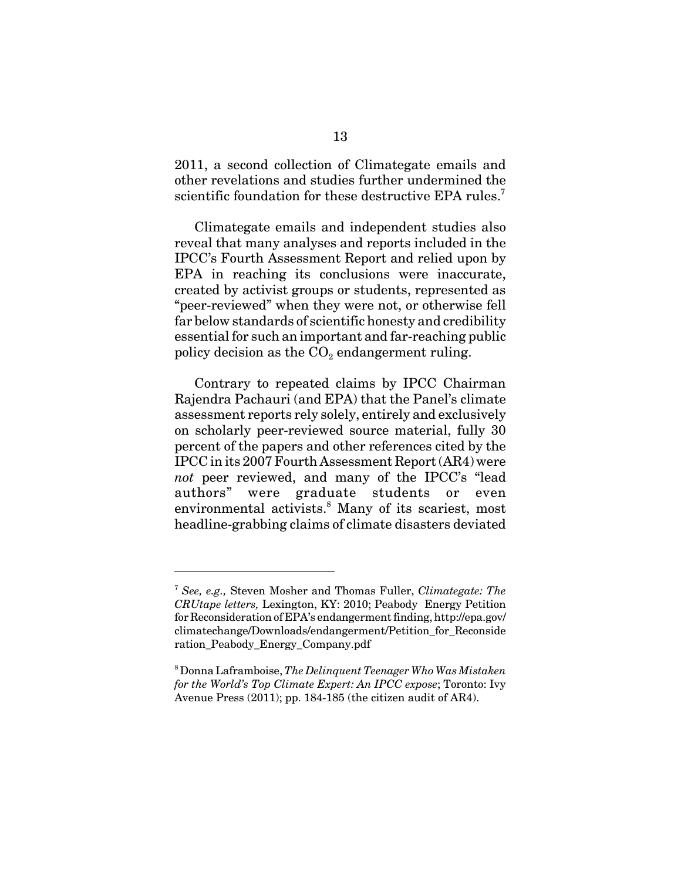2011, a second collection of Climategate emails and other revelations and studies further undermined the scientific foundation for these destructive EPA rules.<sup>7</sup>

Climategate emails and independent studies also reveal that many analyses and reports included in the IPCC's Fourth Assessment Report and relied upon by EPA in reaching its conclusions were inaccurate, created by activist groups or students, represented as "peer-reviewed" when they were not, or otherwise fell far below standards of scientific honesty and credibility essential for such an important and far-reaching public policy decision as the  $CO<sub>2</sub>$  endangerment ruling.

Contrary to repeated claims by IPCC Chairman Rajendra Pachauri (and EPA) that the Panel's climate assessment reports rely solely, entirely and exclusively on scholarly peer-reviewed source material, fully 30 percent of the papers and other references cited by the IPCC in its 2007 Fourth Assessment Report (AR4) were *not* peer reviewed, and many of the IPCC's "lead authors" were graduate students or even environmental activists.<sup>8</sup> Many of its scariest, most headline-grabbing claims of climate disasters deviated

<sup>7</sup> *See, e.g.,* Steven Mosher and Thomas Fuller, *Climategate: The CRUtape letters,* Lexington, KY: 2010; Peabody Energy Petition for Reconsideration of EPA's endangerment finding, http://epa.gov/ climatechange/Downloads/endangerment/Petition\_for\_Reconside ration\_Peabody\_Energy\_Company.pdf

<sup>8</sup> Donna Laframboise, *The Delinquent Teenager Who Was Mistaken for the World's Top Climate Expert: An IPCC expose*; Toronto: Ivy Avenue Press (2011); pp. 184-185 (the citizen audit of AR4).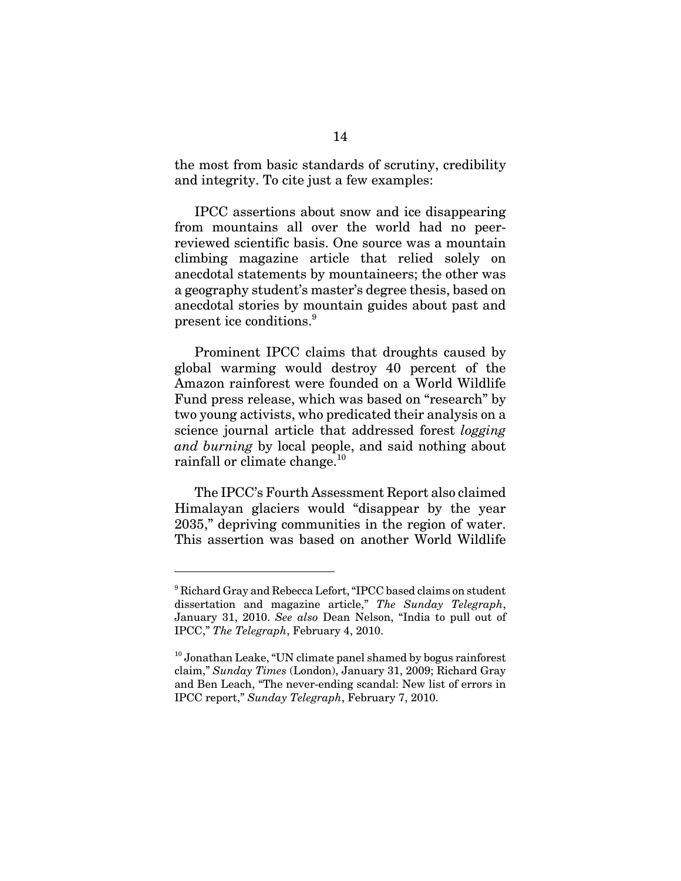the most from basic standards of scrutiny, credibility and integrity. To cite just a few examples:

IPCC assertions about snow and ice disappearing from mountains all over the world had no peerreviewed scientific basis. One source was a mountain climbing magazine article that relied solely on anecdotal statements by mountaineers; the other was a geography student's master's degree thesis, based on anecdotal stories by mountain guides about past and present ice conditions.<sup>9</sup>

Prominent IPCC claims that droughts caused by global warming would destroy 40 percent of the Amazon rainforest were founded on a World Wildlife Fund press release, which was based on "research" by two young activists, who predicated their analysis on a science journal article that addressed forest *logging and burning* by local people, and said nothing about rainfall or climate change.<sup>10</sup>

The IPCC's Fourth Assessment Report also claimed Himalayan glaciers would "disappear by the year 2035," depriving communities in the region of water. This assertion was based on another World Wildlife

<sup>&</sup>lt;sup>9</sup> Richard Gray and Rebecca Lefort, "IPCC based claims on student dissertation and magazine article," *The Sunday Telegraph*, January 31, 2010. *See also* Dean Nelson, "India to pull out of IPCC," *The Telegraph*, February 4, 2010.

 $10$  Jonathan Leake, "UN climate panel shamed by bogus rainforest claim," *Sunday Times* (London), January 31, 2009; Richard Gray and Ben Leach, "The never-ending scandal: New list of errors in IPCC report," *Sunday Telegraph*, February 7, 2010.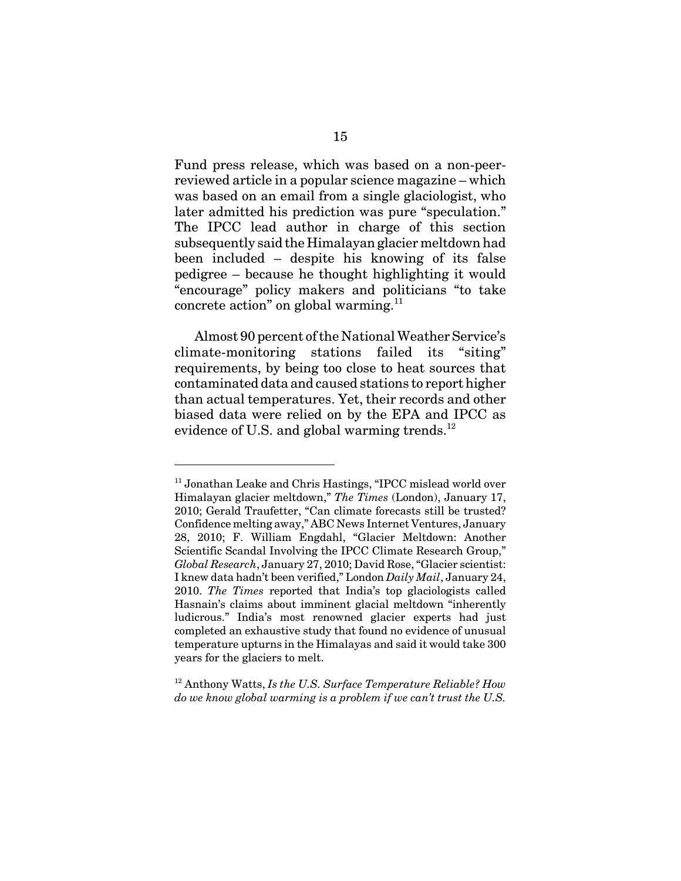Fund press release, which was based on a non-peerreviewed article in a popular science magazine – which was based on an email from a single glaciologist, who later admitted his prediction was pure "speculation." The IPCC lead author in charge of this section subsequently said the Himalayan glacier meltdown had been included – despite his knowing of its false pedigree – because he thought highlighting it would "encourage" policy makers and politicians "to take concrete action" on global warming.11

Almost 90 percent of the National Weather Service's climate-monitoring stations failed its "siting" requirements, by being too close to heat sources that contaminated data and caused stations to report higher than actual temperatures. Yet, their records and other biased data were relied on by the EPA and IPCC as evidence of U.S. and global warming trends.<sup>12</sup>

<sup>&</sup>lt;sup>11</sup> Jonathan Leake and Chris Hastings, "IPCC mislead world over Himalayan glacier meltdown," *The Times* (London), January 17, 2010; Gerald Traufetter, "Can climate forecasts still be trusted? Confidence melting away," ABC News Internet Ventures, January 28, 2010; F. William Engdahl, "Glacier Meltdown: Another Scientific Scandal Involving the IPCC Climate Research Group," *Global Research*, January 27, 2010; David Rose, "Glacier scientist: I knew data hadn't been verified," London *Daily Mail*, January 24, 2010. *The Times* reported that India's top glaciologists called Hasnain's claims about imminent glacial meltdown "inherently ludicrous." India's most renowned glacier experts had just completed an exhaustive study that found no evidence of unusual temperature upturns in the Himalayas and said it would take 300 years for the glaciers to melt.

<sup>12</sup> Anthony Watts, *Is the U.S. Surface Temperature Reliable? How do we know global warming is a problem if we can't trust the U.S.*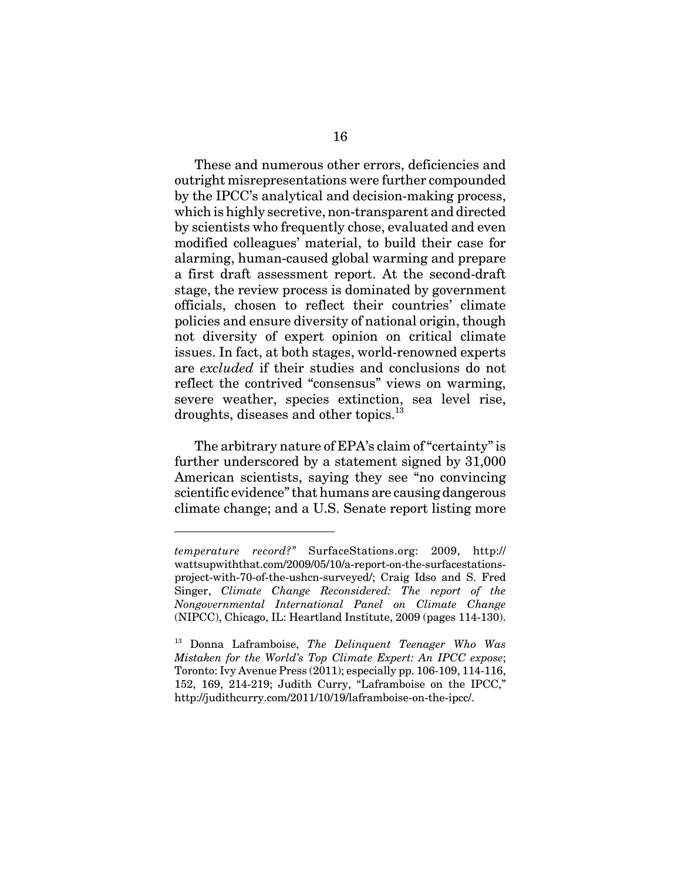These and numerous other errors, deficiencies and outright misrepresentations were further compounded by the IPCC's analytical and decision-making process, which is highly secretive, non-transparent and directed by scientists who frequently chose, evaluated and even modified colleagues' material, to build their case for alarming, human-caused global warming and prepare a first draft assessment report. At the second-draft stage, the review process is dominated by government officials, chosen to reflect their countries' climate policies and ensure diversity of national origin, though not diversity of expert opinion on critical climate issues. In fact, at both stages, world-renowned experts are *excluded* if their studies and conclusions do not reflect the contrived "consensus" views on warming, severe weather, species extinction, sea level rise, droughts, diseases and other topics.<sup>13</sup>

The arbitrary nature of EPA's claim of "certainty" is further underscored by a statement signed by 31,000 American scientists, saying they see "no convincing scientific evidence" that humans are causing dangerous climate change; and a U.S. Senate report listing more

*temperature record?"* SurfaceStations.org: 2009, http:// wattsupwiththat.com/2009/05/10/a-report-on-the-surfacestationsproject-with-70-of-the-ushcn-surveyed/; Craig Idso and S. Fred Singer, *Climate Change Reconsidered: The report of the Nongovernmental International Panel on Climate Change* (NIPCC), Chicago, IL: Heartland Institute, 2009 (pages 114-130).

<sup>13</sup> Donna Laframboise, *The Delinquent Teenager Who Was Mistaken for the World's Top Climate Expert: An IPCC expose*; Toronto: Ivy Avenue Press (2011); especially pp. 106-109, 114-116, 152, 169, 214-219; Judith Curry, "Laframboise on the IPCC," http://judithcurry.com/2011/10/19/laframboise-on-the-ipcc/.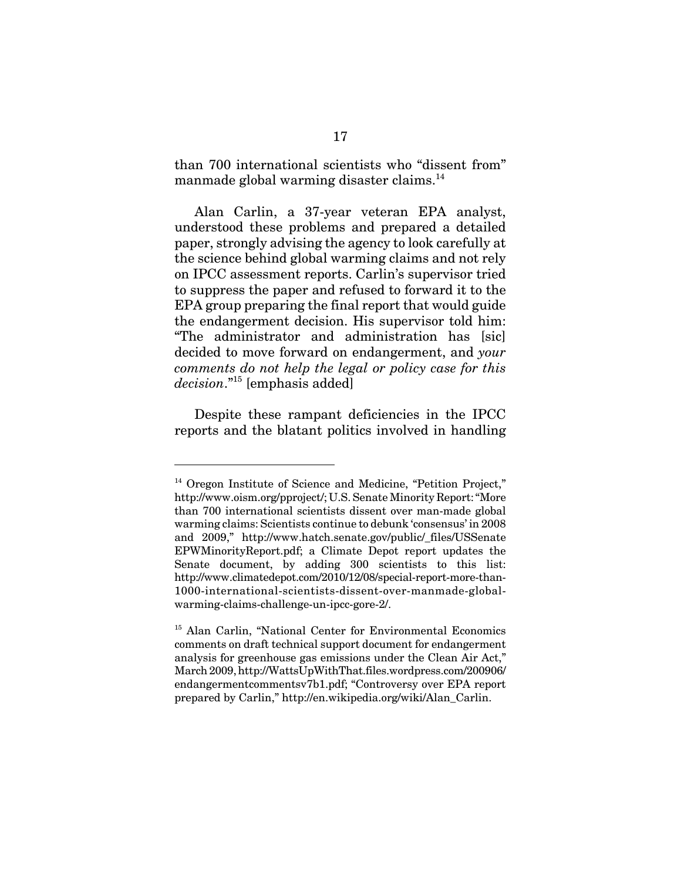than 700 international scientists who "dissent from" manmade global warming disaster claims.<sup>14</sup>

Alan Carlin, a 37-year veteran EPA analyst, understood these problems and prepared a detailed paper, strongly advising the agency to look carefully at the science behind global warming claims and not rely on IPCC assessment reports. Carlin's supervisor tried to suppress the paper and refused to forward it to the EPA group preparing the final report that would guide the endangerment decision. His supervisor told him: "The administrator and administration has [sic] decided to move forward on endangerment, and *your comments do not help the legal or policy case for this decision*."15 [emphasis added]

Despite these rampant deficiencies in the IPCC reports and the blatant politics involved in handling

<sup>&</sup>lt;sup>14</sup> Oregon Institute of Science and Medicine, "Petition Project," http://www.oism.org/pproject/; U.S. Senate Minority Report: "More than 700 international scientists dissent over man-made global warming claims: Scientists continue to debunk 'consensus' in 2008 and 2009," http://www.hatch.senate.gov/public/\_files/USSenate EPWMinorityReport.pdf; a Climate Depot report updates the Senate document, by adding 300 scientists to this list: http://www.climatedepot.com/2010/12/08/special-report-more-than-1000-international-scientists-dissent-over-manmade-globalwarming-claims-challenge-un-ipcc-gore-2/.

<sup>&</sup>lt;sup>15</sup> Alan Carlin, "National Center for Environmental Economics comments on draft technical support document for endangerment analysis for greenhouse gas emissions under the Clean Air Act," March 2009, http://WattsUpWithThat.files.wordpress.com/200906/ endangermentcommentsv7b1.pdf; "Controversy over EPA report prepared by Carlin," http://en.wikipedia.org/wiki/Alan\_Carlin.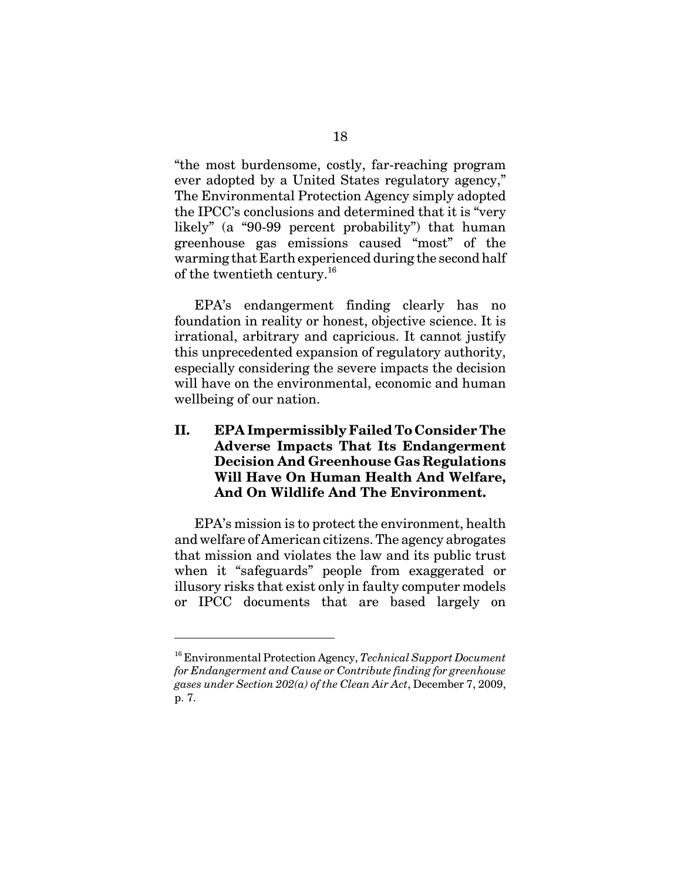"the most burdensome, costly, far-reaching program ever adopted by a United States regulatory agency," The Environmental Protection Agency simply adopted the IPCC's conclusions and determined that it is "very likely" (a "90-99 percent probability") that human greenhouse gas emissions caused "most" of the warming that Earth experienced during the second half of the twentieth century.<sup>16</sup>

EPA's endangerment finding clearly has no foundation in reality or honest, objective science. It is irrational, arbitrary and capricious. It cannot justify this unprecedented expansion of regulatory authority, especially considering the severe impacts the decision will have on the environmental, economic and human wellbeing of our nation.

### **II. EPA Impermissibly Failed To Consider The Adverse Impacts That Its Endangerment Decision And Greenhouse Gas Regulations Will Have On Human Health And Welfare, And On Wildlife And The Environment.**

EPA's mission is to protect the environment, health and welfare of American citizens. The agency abrogates that mission and violates the law and its public trust when it "safeguards" people from exaggerated or illusory risks that exist only in faulty computer models or IPCC documents that are based largely on

<sup>16</sup> Environmental Protection Agency, *Technical Support Document for Endangerment and Cause or Contribute finding for greenhouse gases under Section 202(a) of the Clean Air Act*, December 7, 2009, p. 7.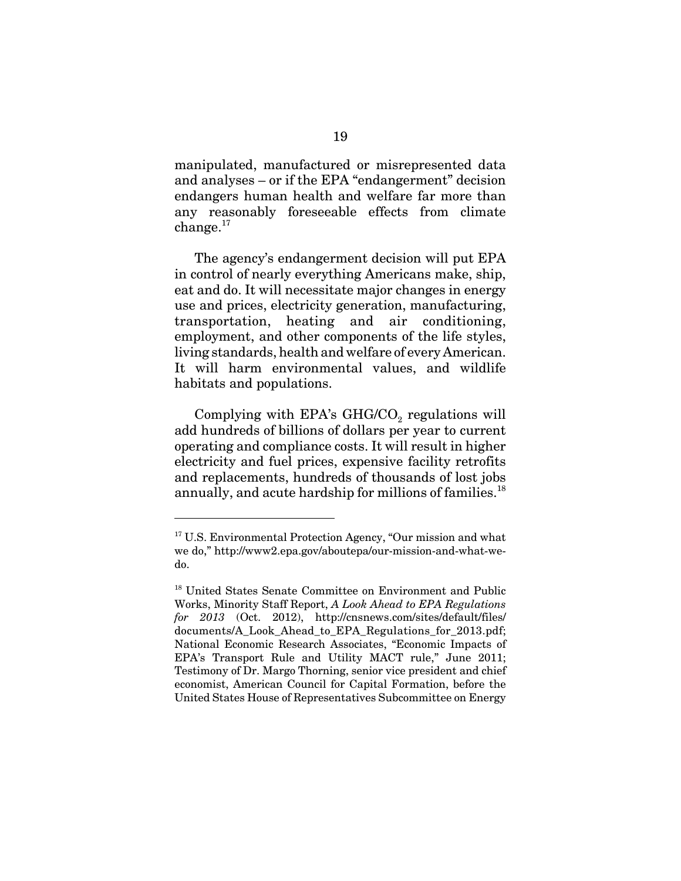manipulated, manufactured or misrepresented data and analyses – or if the EPA "endangerment" decision endangers human health and welfare far more than any reasonably foreseeable effects from climate  $change.<sup>17</sup>$ 

The agency's endangerment decision will put EPA in control of nearly everything Americans make, ship, eat and do. It will necessitate major changes in energy use and prices, electricity generation, manufacturing, transportation, heating and air conditioning, employment, and other components of the life styles, living standards, health and welfare of every American. It will harm environmental values, and wildlife habitats and populations.

Complying with EPA's  $GHG/CO<sub>2</sub>$  regulations will add hundreds of billions of dollars per year to current operating and compliance costs. It will result in higher electricity and fuel prices, expensive facility retrofits and replacements, hundreds of thousands of lost jobs annually, and acute hardship for millions of families.<sup>18</sup>

 $17$  U.S. Environmental Protection Agency, "Our mission and what we do," http://www2.epa.gov/aboutepa/our-mission-and-what-wedo.

<sup>&</sup>lt;sup>18</sup> United States Senate Committee on Environment and Public Works, Minority Staff Report, *A Look Ahead to EPA Regulations for 2013* (Oct. 2012), http://cnsnews.com/sites/default/files/ documents/A\_Look\_Ahead\_to\_EPA\_Regulations\_for\_2013.pdf; National Economic Research Associates, "Economic Impacts of EPA's Transport Rule and Utility MACT rule," June 2011; Testimony of Dr. Margo Thorning, senior vice president and chief economist, American Council for Capital Formation, before the United States House of Representatives Subcommittee on Energy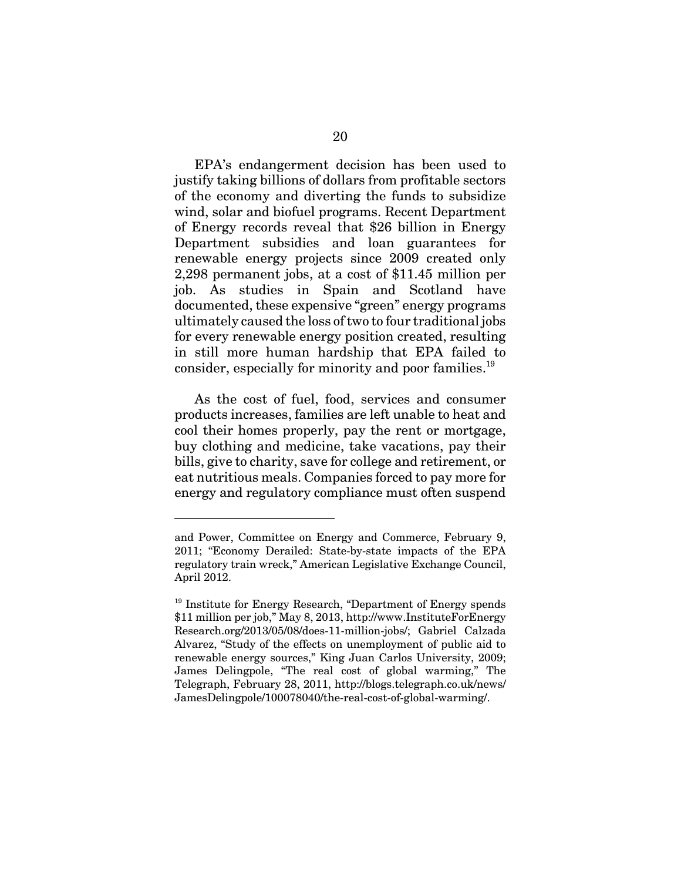EPA's endangerment decision has been used to justify taking billions of dollars from profitable sectors of the economy and diverting the funds to subsidize wind, solar and biofuel programs. Recent Department of Energy records reveal that \$26 billion in Energy Department subsidies and loan guarantees for renewable energy projects since 2009 created only 2,298 permanent jobs, at a cost of \$11.45 million per job. As studies in Spain and Scotland have documented, these expensive "green" energy programs ultimately caused the loss of two to four traditional jobs for every renewable energy position created, resulting in still more human hardship that EPA failed to consider, especially for minority and poor families.<sup>19</sup>

As the cost of fuel, food, services and consumer products increases, families are left unable to heat and cool their homes properly, pay the rent or mortgage, buy clothing and medicine, take vacations, pay their bills, give to charity, save for college and retirement, or eat nutritious meals. Companies forced to pay more for energy and regulatory compliance must often suspend

and Power, Committee on Energy and Commerce, February 9, 2011; "Economy Derailed: State-by-state impacts of the EPA regulatory train wreck," American Legislative Exchange Council, April 2012.

<sup>&</sup>lt;sup>19</sup> Institute for Energy Research, "Department of Energy spends \$11 million per job," May 8, 2013, http://www.InstituteForEnergy Research.org/2013/05/08/does-11-million-jobs/; Gabriel Calzada Alvarez, "Study of the effects on unemployment of public aid to renewable energy sources," King Juan Carlos University, 2009; James Delingpole, "The real cost of global warming," The Telegraph, February 28, 2011, http://blogs.telegraph.co.uk/news/ JamesDelingpole/100078040/the-real-cost-of-global-warming/.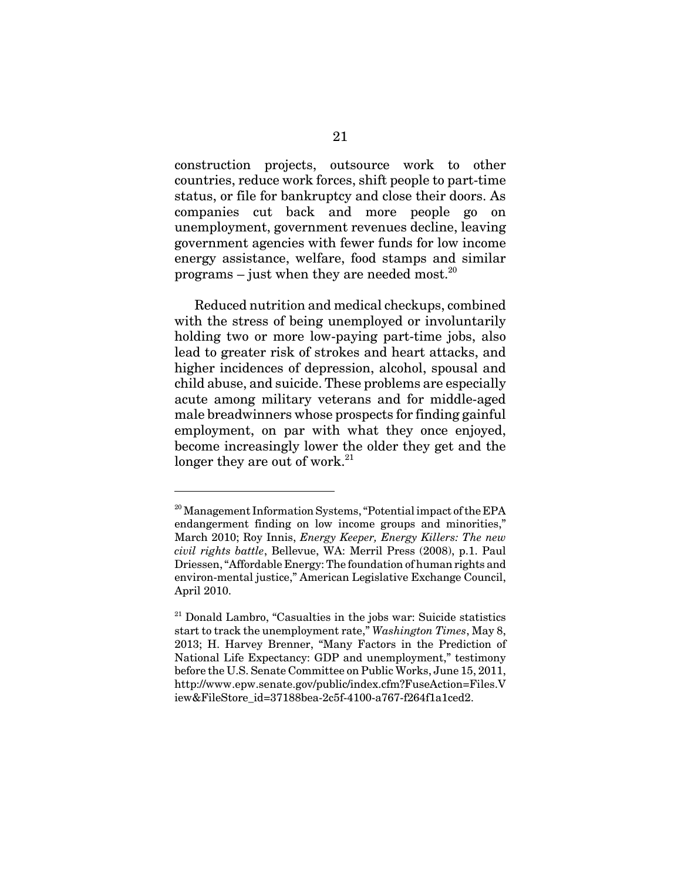construction projects, outsource work to other countries, reduce work forces, shift people to part-time status, or file for bankruptcy and close their doors. As companies cut back and more people go on unemployment, government revenues decline, leaving government agencies with fewer funds for low income energy assistance, welfare, food stamps and similar programs – just when they are needed most.<sup>20</sup>

Reduced nutrition and medical checkups, combined with the stress of being unemployed or involuntarily holding two or more low-paying part-time jobs, also lead to greater risk of strokes and heart attacks, and higher incidences of depression, alcohol, spousal and child abuse, and suicide. These problems are especially acute among military veterans and for middle-aged male breadwinners whose prospects for finding gainful employment, on par with what they once enjoyed, become increasingly lower the older they get and the longer they are out of work. $21$ 

<sup>&</sup>lt;sup>20</sup> Management Information Systems, "Potential impact of the EPA endangerment finding on low income groups and minorities," March 2010; Roy Innis, *Energy Keeper, Energy Killers: The new civil rights battle*, Bellevue, WA: Merril Press (2008), p.1. Paul Driessen, "Affordable Energy: The foundation of human rights and environ-mental justice," American Legislative Exchange Council, April 2010.

 $21$  Donald Lambro, "Casualties in the jobs war: Suicide statistics start to track the unemployment rate," *Washington Times*, May 8, 2013; H. Harvey Brenner, "Many Factors in the Prediction of National Life Expectancy: GDP and unemployment," testimony before the U.S. Senate Committee on Public Works, June 15, 2011, http://www.epw.senate.gov/public/index.cfm?FuseAction=Files.V iew&FileStore\_id=37188bea-2c5f-4100-a767-f264f1a1ced2.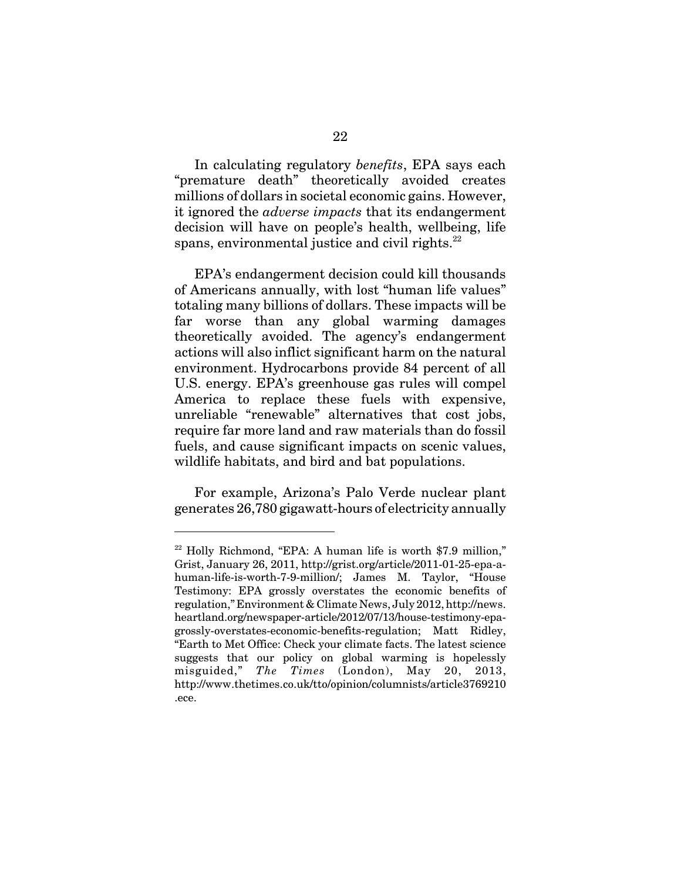In calculating regulatory *benefits*, EPA says each "premature death" theoretically avoided creates millions of dollars in societal economic gains. However, it ignored the *adverse impacts* that its endangerment decision will have on people's health, wellbeing, life spans, environmental justice and civil rights. $^{22}$ 

EPA's endangerment decision could kill thousands of Americans annually, with lost "human life values" totaling many billions of dollars. These impacts will be far worse than any global warming damages theoretically avoided. The agency's endangerment actions will also inflict significant harm on the natural environment. Hydrocarbons provide 84 percent of all U.S. energy. EPA's greenhouse gas rules will compel America to replace these fuels with expensive, unreliable "renewable" alternatives that cost jobs, require far more land and raw materials than do fossil fuels, and cause significant impacts on scenic values, wildlife habitats, and bird and bat populations.

For example, Arizona's Palo Verde nuclear plant generates 26,780 gigawatt-hours of electricity annually

 $22$  Holly Richmond, "EPA: A human life is worth \$7.9 million," Grist, January 26, 2011, http://grist.org/article/2011-01-25-epa-ahuman-life-is-worth-7-9-million/; James M. Taylor, "House Testimony: EPA grossly overstates the economic benefits of regulation," Environment & Climate News, July 2012, http://news. heartland.org/newspaper-article/2012/07/13/house-testimony-epagrossly-overstates-economic-benefits-regulation; Matt Ridley, "Earth to Met Office: Check your climate facts. The latest science suggests that our policy on global warming is hopelessly misguided," *The Times* (London), May 20, 2013, http://www.thetimes.co.uk/tto/opinion/columnists/article3769210 .ece.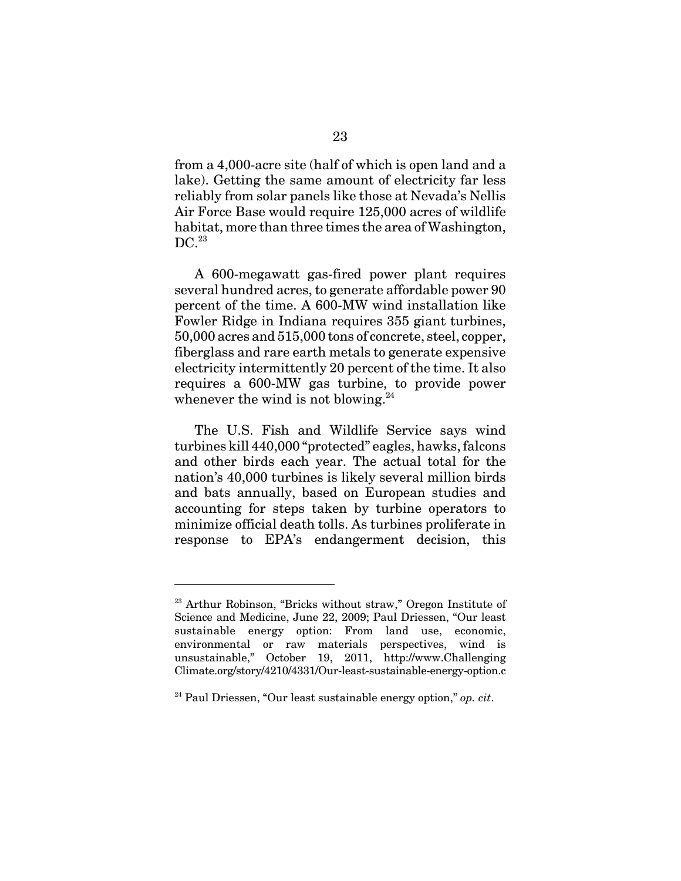from a 4,000-acre site (half of which is open land and a lake). Getting the same amount of electricity far less reliably from solar panels like those at Nevada's Nellis Air Force Base would require 125,000 acres of wildlife habitat, more than three times the area of Washington,  $DC.<sup>23</sup>$ 

A 600-megawatt gas-fired power plant requires several hundred acres, to generate affordable power 90 percent of the time. A 600-MW wind installation like Fowler Ridge in Indiana requires 355 giant turbines, 50,000 acres and 515,000 tons of concrete, steel, copper, fiberglass and rare earth metals to generate expensive electricity intermittently 20 percent of the time. It also requires a 600-MW gas turbine, to provide power whenever the wind is not blowing. $^{24}$ 

The U.S. Fish and Wildlife Service says wind turbines kill 440,000 "protected" eagles, hawks, falcons and other birds each year. The actual total for the nation's 40,000 turbines is likely several million birds and bats annually, based on European studies and accounting for steps taken by turbine operators to minimize official death tolls. As turbines proliferate in response to EPA's endangerment decision, this

<sup>&</sup>lt;sup>23</sup> Arthur Robinson, "Bricks without straw," Oregon Institute of Science and Medicine, June 22, 2009; Paul Driessen, "Our least sustainable energy option: From land use, economic, environmental or raw materials perspectives, wind is unsustainable," October 19, 2011, http://www.Challenging Climate.org/story/4210/4331/Our-least-sustainable-energy-option.c

<sup>24</sup> Paul Driessen, "Our least sustainable energy option," *op. cit*.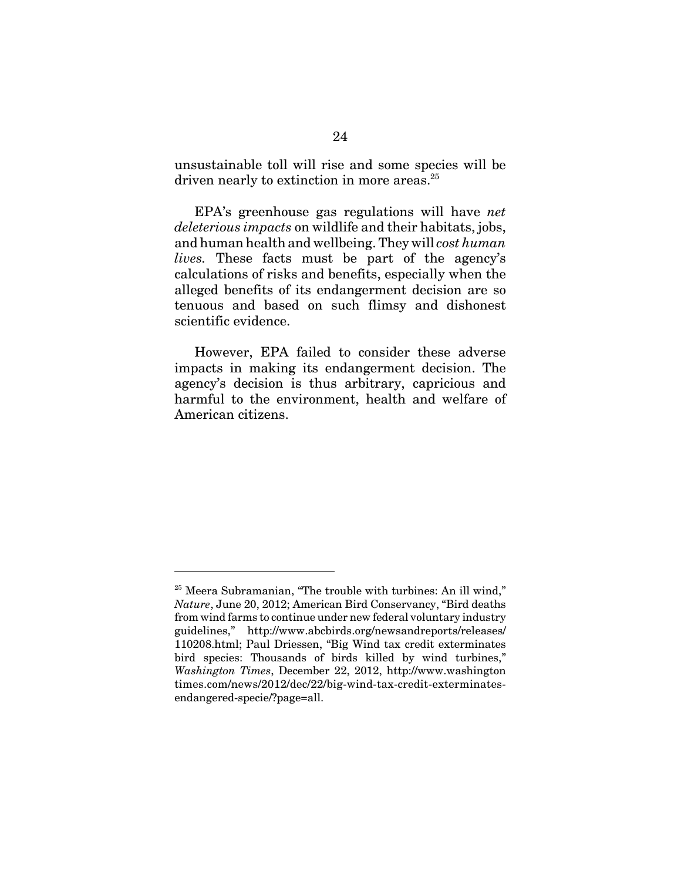unsustainable toll will rise and some species will be driven nearly to extinction in more areas.<sup>25</sup>

EPA's greenhouse gas regulations will have *net deleterious impacts* on wildlife and their habitats, jobs, and human health and wellbeing. They will *cost human lives.* These facts must be part of the agency's calculations of risks and benefits, especially when the alleged benefits of its endangerment decision are so tenuous and based on such flimsy and dishonest scientific evidence.

However, EPA failed to consider these adverse impacts in making its endangerment decision. The agency's decision is thus arbitrary, capricious and harmful to the environment, health and welfare of American citizens.

<sup>&</sup>lt;sup>25</sup> Meera Subramanian, "The trouble with turbines: An ill wind," *Nature*, June 20, 2012; American Bird Conservancy, "Bird deaths from wind farms to continue under new federal voluntary industry guidelines," http://www.abcbirds.org/newsandreports/releases/ 110208.html; Paul Driessen, "Big Wind tax credit exterminates bird species: Thousands of birds killed by wind turbines," *Washington Times*, December 22, 2012, http://www.washington times.com/news/2012/dec/22/big-wind-tax-credit-exterminatesendangered-specie/?page=all.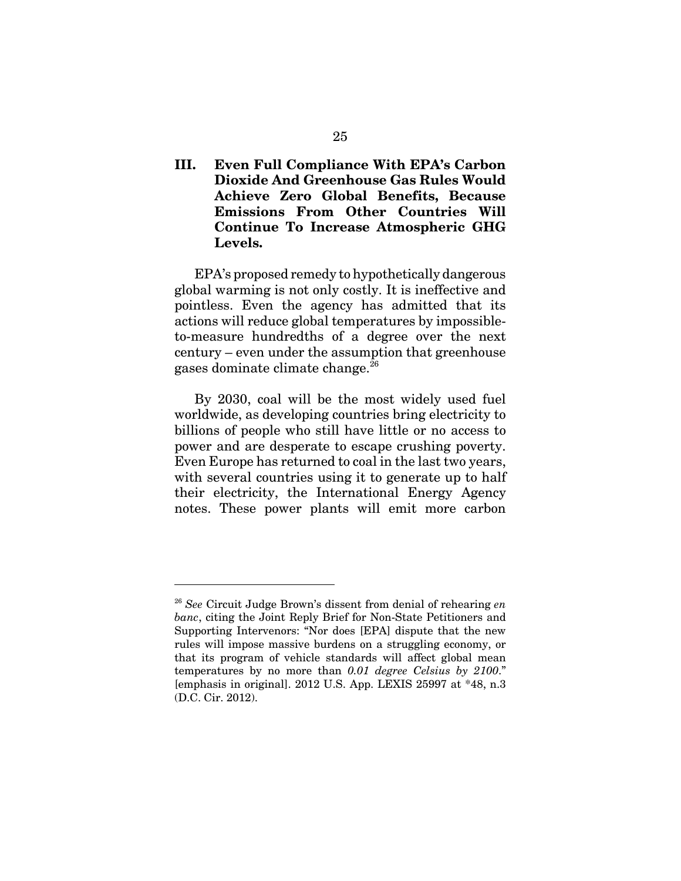### **III. Even Full Compliance With EPA's Carbon Dioxide And Greenhouse Gas Rules Would Achieve Zero Global Benefits, Because Emissions From Other Countries Will Continue To Increase Atmospheric GHG Levels.**

EPA's proposed remedy to hypothetically dangerous global warming is not only costly. It is ineffective and pointless. Even the agency has admitted that its actions will reduce global temperatures by impossibleto-measure hundredths of a degree over the next century – even under the assumption that greenhouse gases dominate climate change.26

By 2030, coal will be the most widely used fuel worldwide, as developing countries bring electricity to billions of people who still have little or no access to power and are desperate to escape crushing poverty. Even Europe has returned to coal in the last two years, with several countries using it to generate up to half their electricity, the International Energy Agency notes. These power plants will emit more carbon

<sup>26</sup> *See* Circuit Judge Brown's dissent from denial of rehearing *en banc*, citing the Joint Reply Brief for Non-State Petitioners and Supporting Intervenors: "Nor does [EPA] dispute that the new rules will impose massive burdens on a struggling economy, or that its program of vehicle standards will affect global mean temperatures by no more than *0.01 degree Celsius by 2100*." [emphasis in original]. 2012 U.S. App. LEXIS 25997 at \*48, n.3 (D.C. Cir. 2012).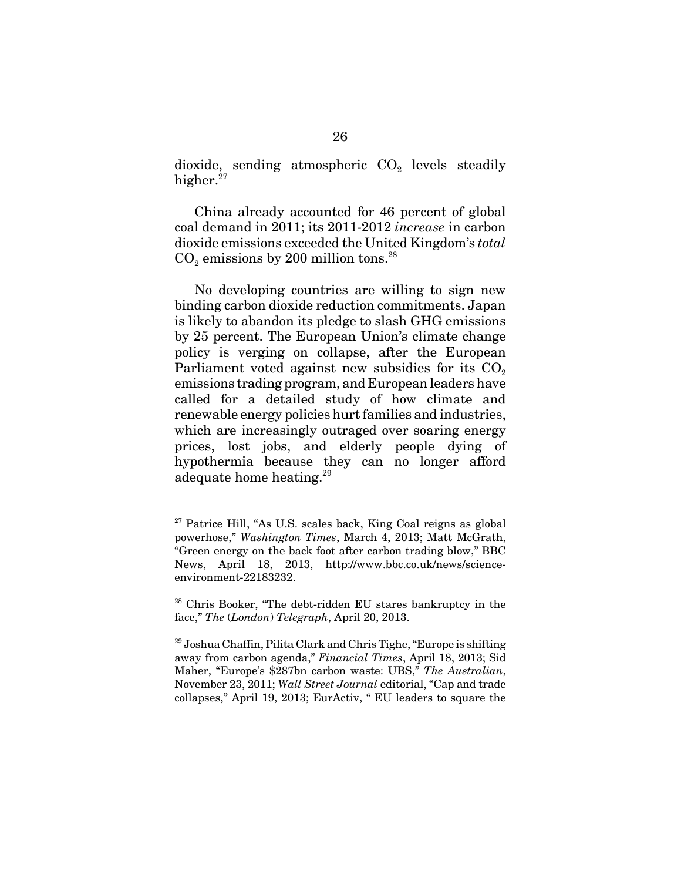dioxide, sending atmospheric  $CO<sub>2</sub>$  levels steadily higher.<sup>27</sup>

China already accounted for 46 percent of global coal demand in 2011; its 2011-2012 *increase* in carbon dioxide emissions exceeded the United Kingdom's *total*  $CO<sub>2</sub>$  emissions by 200 million tons.<sup>28</sup>

No developing countries are willing to sign new binding carbon dioxide reduction commitments. Japan is likely to abandon its pledge to slash GHG emissions by 25 percent. The European Union's climate change policy is verging on collapse, after the European Parliament voted against new subsidies for its  $CO<sub>2</sub>$ emissions trading program, and European leaders have called for a detailed study of how climate and renewable energy policies hurt families and industries, which are increasingly outraged over soaring energy prices, lost jobs, and elderly people dying of hypothermia because they can no longer afford adequate home heating.<sup>29</sup>

 $27$  Patrice Hill, "As U.S. scales back, King Coal reigns as global powerhose," *Washington Times*, March 4, 2013; Matt McGrath, "Green energy on the back foot after carbon trading blow," BBC News, April 18, 2013, http://www.bbc.co.uk/news/scienceenvironment-22183232.

 $28$  Chris Booker, "The debt-ridden EU stares bankruptcy in the face," *The* (*London*) *Telegraph*, April 20, 2013.

 $^{29}$  Joshua Chaffin, Pilita Clark and Chris Tighe, "Europe is shifting" away from carbon agenda," *Financial Times*, April 18, 2013; Sid Maher, "Europe's \$287bn carbon waste: UBS," *The Australian*, November 23, 2011; *Wall Street Journal* editorial, "Cap and trade collapses," April 19, 2013; EurActiv, " EU leaders to square the